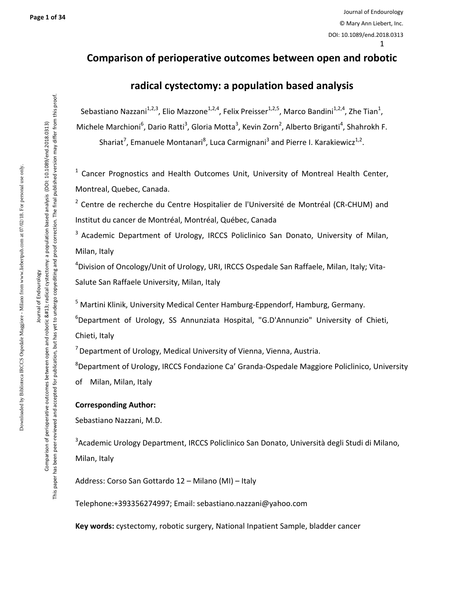#### **Comparison of perioperative outcomes between open and robotic**

#### **radical cystectomy: a population based analysis**

Sebastiano Nazzani<sup>1,2,3</sup>, Elio Mazzone<sup>1,2,4</sup>, Felix Preisser<sup>1,2,5</sup>, Marco Bandini<sup>1,2,4</sup>, Zhe Tian<sup>1</sup>, Michele Marchioni<sup>6</sup>, Dario Ratti<sup>3</sup>, Gloria Motta<sup>3</sup>, Kevin Zorn<sup>2</sup>, Alberto Briganti<sup>4</sup>, Shahrokh F.

Shariat<sup>7</sup>, Emanuele Montanari<sup>8</sup>, Luca Carmignani<sup>3</sup> and Pierre I. Karakiewicz<sup>1,2</sup>.

<sup>1</sup> Cancer Prognostics and Health Outcomes Unit, University of Montreal Health Center, Montreal, Quebec, Canada.

<sup>2</sup> Centre de recherche du Centre Hospitalier de l'Université de Montréal (CR-CHUM) and Institut du cancer de Montréal, Montréal, Québec, Canada

<sup>3</sup> Academic Department of Urology, IRCCS Policlinico San Donato, University of Milan, Milan, Italy

4 Division of Oncology/Unit of Urology, URI, IRCCS Ospedale San Raffaele, Milan, Italy; Vita-Salute San Raffaele University, Milan, Italy

<sup>5</sup> Martini Klinik, University Medical Center Hamburg-Eppendorf, Hamburg, Germany.

6 Department of Urology, SS Annunziata Hospital, "G.D'Annunzio" University of Chieti, Chieti, Italy

 $<sup>7</sup>$  Department of Urology, Medical University of Vienna, Vienna, Austria.</sup>

<sup>8</sup>Department of Urology, IRCCS Fondazione Ca' Granda-Ospedale Maggiore Policlinico, University of Milan, Milan, Italy

#### **Corresponding Author:**

Sebastiano Nazzani, M.D.

<sup>3</sup>Academic Urology Department, IRCCS Policlinico San Donato, Università degli Studi di Milano, Milan, Italy

Address: Corso San Gottardo 12 – Milano (MI) – Italy

Telephone:+393356274997; Email: sebastiano.nazzani@yahoo.com

**Key words:** cystectomy, robotic surgery, National Inpatient Sample, bladder cancer

Journal of Endourology ournal of Endourology Comparison of perioperative outcomes between open and robotic 
radical cystectomy: a population based analysis (DOI: 10.1089/end.2018.0313) This paper has been peer-reviewed and accepted for publication, but has yet to undergo copyediting and proof correction. The final published version may differ from this proof.

This paper has been peer-reviewed and accepted for publication, but has yet to undergo copyediting and proof correction. The final published version may differ from this proof. Comparison of perioperative outcomes between open and robotic 
radical cystectomy: a population based analysis (DOI: 10.1089/end.2018.0313)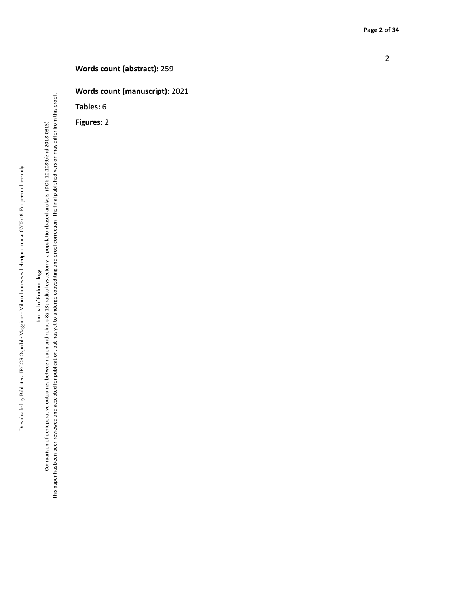**Words count (manuscript):** 2021

**Tables:** 6

**Figures:**  2

Downloaded by Biblioteca IRCCS Ospedale Maggiore - Milano from www.liebertpub.com at 07/02/18. For personal use only. Downloaded by Biblioteca IRCCS Ospedale Maggiore - Milano from www.liebertpub.com at 07/02/18. For personal use only.

# Journal of Endourology Journal of Endourology

This paper has been peer-reviewed and accepted for publication, but has yet to undergo copyediting and proof correction. The final published version may differ from this proof. This paper has been peer-reviewed and accepted for publication, but has yet to undergo copyediting and proof correction. The final published version may differ from this proof. Comparison of perioperative outcomes between open and robotic 
radical cystectomy: a population based analysis (DOI: 10.1089/end.2018.0313) Comparison of perioperative outcomes between open and robotic 
radical cystectomy: a population based analysis (DOI: 10.1089/end.2018.0313)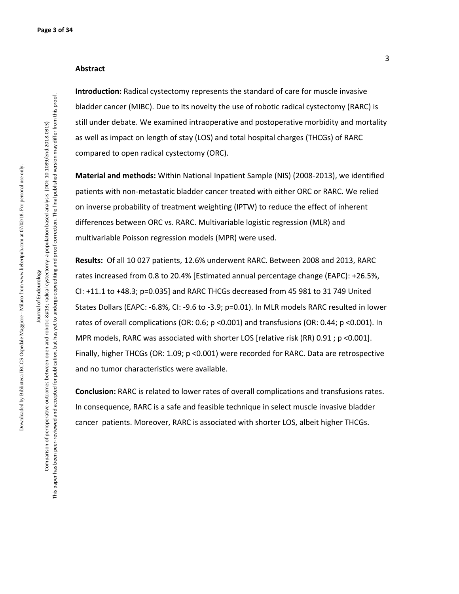#### **Abstract**

**Introduction:** Radical cystectomy represents the standard of care for muscle invasive bladder cancer (MIBC). Due to its novelty the use of robotic radical cystectomy (RARC) is still under debate. We examined intraoperative and postoperative morbidity and mortality as well as impact on length of stay (LOS) and total hospital charges (THCGs) of RARC compared to open radical cystectomy (ORC).

**Material and methods:** Within National Inpatient Sample (NIS) (2008-2013), we identified patients with non-metastatic bladder cancer treated with either ORC or RARC. We relied on inverse probability of treatment weighting (IPTW) to reduce the effect of inherent differences between ORC vs. RARC. Multivariable logistic regression (MLR) and multivariable Poisson regression models (MPR) were used.

**Results:** Of all 10 027 patients, 12.6% underwent RARC. Between 2008 and 2013, RARC rates increased from 0.8 to 20.4% [Estimated annual percentage change (EAPC): +26.5%, CI: +11.1 to +48.3; p=0.035] and RARC THCGs decreased from 45 981 to 31 749 United States Dollars (EAPC: -6.8%, CI: -9.6 to -3.9; p=0.01). In MLR models RARC resulted in lower rates of overall complications (OR: 0.6; p <0.001) and transfusions (OR: 0.44; p <0.001). In MPR models, RARC was associated with shorter LOS [relative risk (RR) 0.91 ; p <0.001]. Finally, higher THCGs (OR: 1.09; p <0.001) were recorded for RARC. Data are retrospective and no tumor characteristics were available.

**Conclusion:** RARC is related to lower rates of overall complications and transfusions rates. In consequence, RARC is a safe and feasible technique in select muscle invasive bladder cancer patients. Moreover, RARC is associated with shorter LOS, albeit higher THCGs.

Journal of Endourology Comparison of perioperative outcomes between open and robotic 
radical cystectomy: a population based analysis (DOI: 10.1089/end.2018.0313) This paper has been peer-reviewed and accepted for publication, but has yet to undergo copyediting and proof correction. The final published version may differ from this proof.

Journal of Endourology

This paper has been peer-reviewed and accepted for publication, but has yet to undergo copyediting and proof correction. The final published version may differ from this proof. Comparison of perioperative outcomes between open and robotic 
radical cystectomy: a population based analysis (DOI: 10:099/end.2018.0313)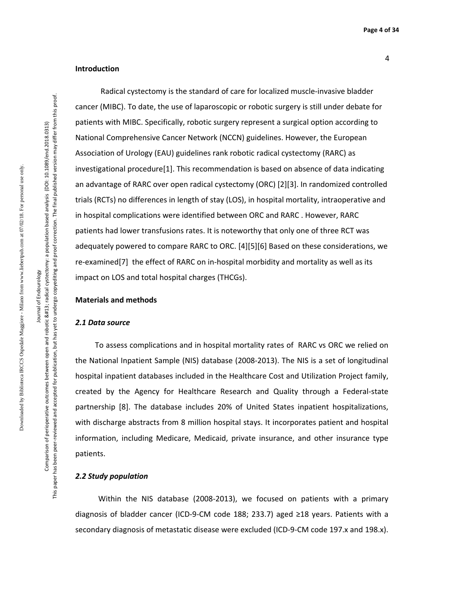#### **Introduction**

Radical cystectomy is the standard of care for localized muscle-invasive bladder cancer (MIBC). To date, the use of laparoscopic or robotic surgery is still under debate for patients with MIBC. Specifically, robotic surgery represent a surgical option according to National Comprehensive Cancer Network (NCCN) guidelines. However, the European Association of Urology (EAU) guidelines rank robotic radical cystectomy (RARC) as investigational procedure[1]. This recommendation is based on absence of data indicating an advantage of RARC over open radical cystectomy (ORC) [2][3]. In randomized controlled trials (RCTs) no differences in length of stay (LOS), in hospital mortality, intraoperative and in hospital complications were identified between ORC and RARC . However, RARC patients had lower transfusions rates. It is noteworthy that only one of three RCT was adequately powered to compare RARC to ORC. [4][5][6] Based on these considerations, we re-examined[7] the effect of RARC on in-hospital morbidity and mortality as well as its impact on LOS and total hospital charges (THCGs).

#### **Materials and methods**

#### *2.1 Data source*

 To assess complications and in hospital mortality rates of RARC vs ORC we relied on the National Inpatient Sample (NIS) database (2008-2013). The NIS is a set of longitudinal hospital inpatient databases included in the Healthcare Cost and Utilization Project family, created by the Agency for Healthcare Research and Quality through a Federal-state partnership [8]. The database includes 20% of United States inpatient hospitalizations, with discharge abstracts from 8 million hospital stays. It incorporates patient and hospital information, including Medicare, Medicaid, private insurance, and other insurance type patients.

#### *2.2 Study population*

 Within the NIS database (2008-2013), we focused on patients with a primary diagnosis of bladder cancer (ICD-9-CM code 188; 233.7) aged ≥18 years. Patients with a secondary diagnosis of metastatic disease were excluded (ICD-9-CM code 197.x and 198.x).

Comparison of perioperative outcomes between open and robotic 
radical cystectomy: a population based analysis (DOI: 10.1089/end.2018.0313) This paper has been peer-reviewed and accepted for publication, but has yet to undergo copyediting and proof correction. The final published version may differ from this proof.

This paper has been peer-reviewed and accepted for publication, but has yet to undergo copyediting and proof correction. The final published version may differ from this proof Comparison of perioperative outcomes between open and robotic 
radical cystectomy: a population based analysis (DOI: 10:099/end.2018.0313)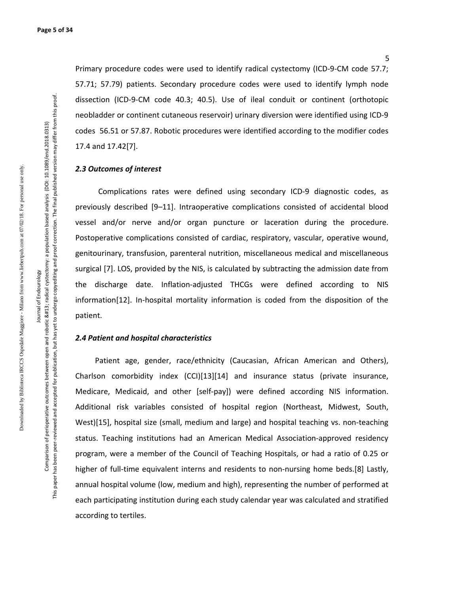5

Primary procedure codes were used to identify radical cystectomy (ICD-9-CM code 57.7; 57.71; 57.79) patients. Secondary procedure codes were used to identify lymph node dissection (ICD-9-CM code 40.3; 40.5). Use of ileal conduit or continent (orthotopic neobladder or continent cutaneous reservoir) urinary diversion were identified using ICD-9 codes 56.51 or 57.87. Robotic procedures were identified according to the modifier codes 17.4 and 17.42[7].

#### *2.3 Outcomes of interest*

 Complications rates were defined using secondary ICD-9 diagnostic codes, as previously described [9–11]. Intraoperative complications consisted of accidental blood vessel and/or nerve and/or organ puncture or laceration during the procedure. Postoperative complications consisted of cardiac, respiratory, vascular, operative wound, genitourinary, transfusion, parenteral nutrition, miscellaneous medical and miscellaneous surgical [7]. LOS, provided by the NIS, is calculated by subtracting the admission date from the discharge date. Inflation-adjusted THCGs were defined according to NIS information[12]. In-hospital mortality information is coded from the disposition of the patient.

#### *2.4 Patient and hospital characteristics*

 Patient age, gender, race/ethnicity (Caucasian, African American and Others), Charlson comorbidity index (CCI)[13][14] and insurance status (private insurance, Medicare, Medicaid, and other [self-pay]) were defined according NIS information. Additional risk variables consisted of hospital region (Northeast, Midwest, South, West)[15], hospital size (small, medium and large) and hospital teaching vs. non-teaching status. Teaching institutions had an American Medical Association-approved residency program, were a member of the Council of Teaching Hospitals, or had a ratio of 0.25 or higher of full-time equivalent interns and residents to non-nursing home beds.[8] Lastly, annual hospital volume (low, medium and high), representing the number of performed at each participating institution during each study calendar year was calculated and stratified according to tertiles.

Comparison of perioperative outcomes between open and robotic 
radical cystectomy: a population based analysis (DOI: 10.1089/end.2018.0313) Comparison of perioperative outcomes between open and robotic 
radical cystectomy: a population based analysis (DOI: 10:1089/end.2018.0313) Journal of Endourology Journal of Endourology

This paper has been peer-reviewed and accepted for publication, but has yet to undergo copyediting and proof correction. The final published version may differ from this proof.

This paper has been peer-reviewed and accepted for publication, but has yet to undergo copyediting and proof correction. The final published version may differ from this proof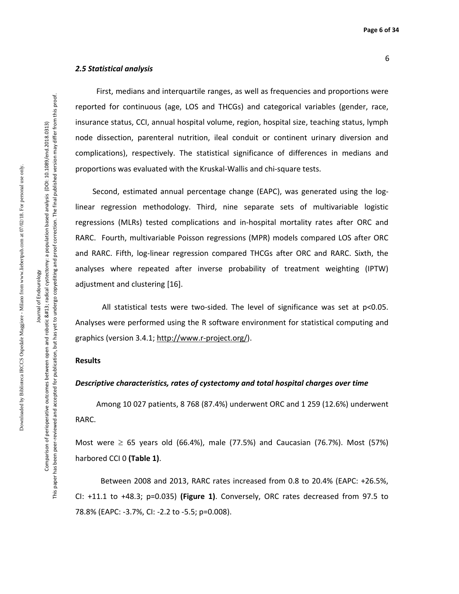#### *2.5 Statistical analysis*

First, medians and interquartile ranges, as well as frequencies and proportions were reported for continuous (age, LOS and THCGs) and categorical variables (gender, race, insurance status, CCI, annual hospital volume, region, hospital size, teaching status, lymph node dissection, parenteral nutrition, ileal conduit or continent urinary diversion and complications), respectively. The statistical significance of differences in medians and proportions was evaluated with the Kruskal-Wallis and chi-square tests.

 Second, estimated annual percentage change (EAPC), was generated using the loglinear regression methodology. Third, nine separate sets of multivariable logistic regressions (MLRs) tested complications and in-hospital mortality rates after ORC and RARC. Fourth, multivariable Poisson regressions (MPR) models compared LOS after ORC and RARC. Fifth, log-linear regression compared THCGs after ORC and RARC. Sixth, the analyses where repeated after inverse probability of treatment weighting (IPTW) adjustment and clustering [16].

 All statistical tests were two-sided. The level of significance was set at p<0.05. Analyses were performed using the R software environment for statistical computing and graphics (version 3.4.1; http://www.r-project.org/).

#### **Results**

#### *Descriptive characteristics, rates of cystectomy and total hospital charges over time*

 Among 10 027 patients, 8 768 (87.4%) underwent ORC and 1 259 (12.6%) underwent RARC.

Most were  $\geq 65$  years old (66.4%), male (77.5%) and Caucasian (76.7%). Most (57%) harbored CCI 0 **(Table 1)**.

 Between 2008 and 2013, RARC rates increased from 0.8 to 20.4% (EAPC: +26.5%, CI: +11.1 to +48.3; p=0.035) **(Figure 1)**. Conversely, ORC rates decreased from 97.5 to 78.8% (EAPC: -3.7%, CI: -2.2 to -5.5; p=0.008).

Journal of Endourology Comparison of perioperative outcomes between open and robotic 
radical cystectomy: a population based analysis (DOI: 10.1089/end.2018.0313) This paper has been peer-reviewed and accepted for publication, but has yet to undergo copyediting and proof correction. The final published version may differ from this proof.

Journal of Endourology

This paper has been peer-reviewed and accepted for publication, but has yet to undergo copyediting and proof correction. The final published version may differ from this proof Comparison of perioperative outcomes between open and robotic 
radical cystectomy: a population based analysis (DOI: 10:099/end.2018.0313)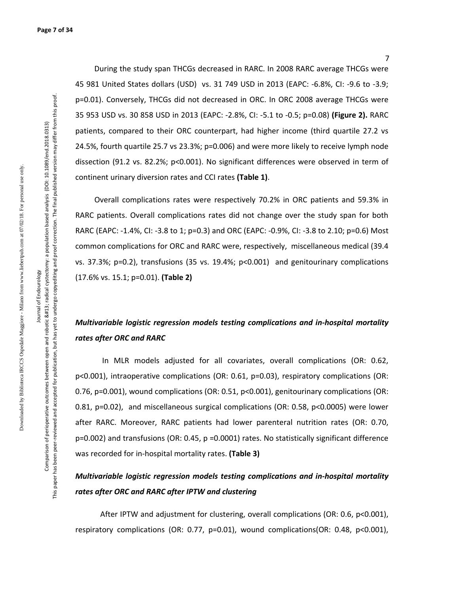During the study span THCGs decreased in RARC. In 2008 RARC average THCGs were 45 981 United States dollars (USD) vs. 31 749 USD in 2013 (EAPC: -6.8%, CI: -9.6 to -3.9; p=0.01). Conversely, THCGs did not decreased in ORC. In ORC 2008 average THCGs were 35 953 USD vs. 30 858 USD in 2013 (EAPC: -2.8%, CI: -5.1 to -0.5; p=0.08) **(Figure 2).** RARC patients, compared to their ORC counterpart, had higher income (third quartile 27.2 vs 24.5%, fourth quartile 25.7 vs 23.3%; p=0.006) and were more likely to receive lymph node dissection (91.2 vs. 82.2%; p<0.001). No significant differences were observed in term of continent urinary diversion rates and CCI rates **(Table 1)**.

 Overall complications rates were respectively 70.2% in ORC patients and 59.3% in RARC patients. Overall complications rates did not change over the study span for both RARC (EAPC: -1.4%, CI: -3.8 to 1; p=0.3) and ORC (EAPC: -0.9%, CI: -3.8 to 2.10; p=0.6) Most common complications for ORC and RARC were, respectively, miscellaneous medical (39.4 vs. 37.3%; p=0.2), transfusions (35 vs. 19.4%; p<0.001) and genitourinary complications (17.6% vs. 15.1; p=0.01). **(Table 2)** 

## *Multivariable logistic regression models testing complications and in-hospital mortality rates after ORC and RARC*

In MLR models adjusted for all covariates, overall complications (OR: 0.62, p<0.001), intraoperative complications (OR: 0.61, p=0.03), respiratory complications (OR: 0.76, p=0.001), wound complications (OR: 0.51, p<0.001), genitourinary complications (OR: 0.81, p=0.02), and miscellaneous surgical complications (OR: 0.58, p<0.0005) were lower after RARC. Moreover, RARC patients had lower parenteral nutrition rates (OR: 0.70, p=0.002) and transfusions (OR: 0.45, p =0.0001) rates. No statistically significant difference was recorded for in-hospital mortality rates. **(Table 3)**

### *Multivariable logistic regression models testing complications and in-hospital mortality rates after ORC and RARC after IPTW and clustering*

After IPTW and adjustment for clustering, overall complications (OR: 0.6, p<0.001), respiratory complications (OR: 0.77, p=0.01), wound complications(OR: 0.48, p<0.001),

Journal of Endourology Comparison of perioperative outcomes between open and robotic 
radical cystectomy: a population based analysis (DOI: 10.1089/end.2018.0313) This paper has been peer-reviewed and accepted for publication, but has yet to undergo copyediting and proof correction. The final published version may differ from this proof.

Journal of Endourology

This paper has been peer-reviewed and accepted for publication, but has yet to undergo copyediting and proof correction. The final published version may differ from this proof Comparison of perioperative outcomes between open and robotic 
radical cystectomy: a population based analysis (DOI: 10:1089/end.2018.0313)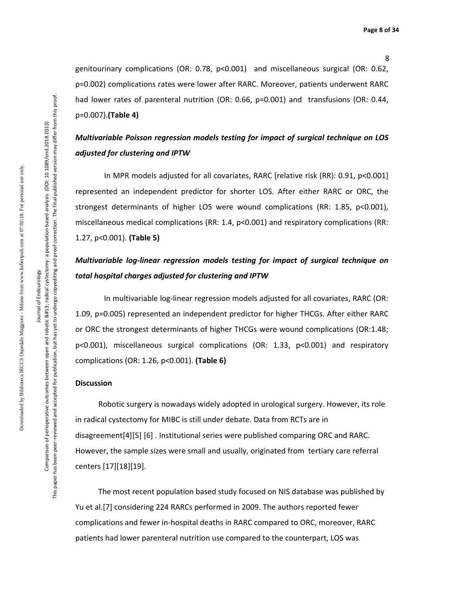8

genitourinary complications (OR: 0.78, p<0.001) and miscellaneous surgical (OR: 0.62, p=0.002) complications rates were lower after RARC. Moreover, patients underwent RARC had lower rates of parenteral nutrition (OR: 0.66, p=0.001) and transfusions (OR: 0.44, p=0.007).**(Table 4)**

### *Multivariable Poisson regression models testing for impact of surgical technique on LOS adjusted for clustering and IPTW*

 In MPR models adjusted for all covariates, RARC [relative risk (RR): 0.91, p<0.001] represented an independent predictor for shorter LOS. After either RARC or ORC, the strongest determinants of higher LOS were wound complications (RR: 1.85, p<0.001), miscellaneous medical complications (RR: 1.4, p<0.001) and respiratory complications (RR: 1.27, p<0.001). **(Table 5)**

### *Multivariable log-linear regression models testing for impact of surgical technique on total hospital charges adjusted for clustering and IPTW*

 In multivariable log-linear regression models adjusted for all covariates, RARC (OR: 1.09, p=0.005) represented an independent predictor for higher THCGs. After either RARC or ORC the strongest determinants of higher THCGs were wound complications (OR:1.48; p<0.001), miscellaneous surgical complications (OR: 1.33, p<0.001) and respiratory complications (OR: 1.26, p<0.001). **(Table 6)**

#### **Discussion**

Robotic surgery is nowadays widely adopted in urological surgery. However, its role in radical cystectomy for MIBC is still under debate. Data from RCTs are in disagreement[4][5] [6] . Institutional series were published comparing ORC and RARC. However, the sample sizes were small and usually, originated from tertiary care referral centers [17][18][19].

 The most recent population based study focused on NIS database was published by Yu et al.[7] considering 224 RARCs performed in 2009. The authors reported fewer complications and fewer in-hospital deaths in RARC compared to ORC, moreover, RARC patients had lower parenteral nutrition use compared to the counterpart, LOS was

Journal of Endourology Journal of Endourology Comparison of perioperative outcomes between open and robotic 
radical cystectomy: a population based analysis (DOI: 10.1089/end.2018.0313) This paper has been peer-reviewed and accepted for publication, but has yet to undergo copyediting and proof correction. The final published version may differ from this proof.

This paper has been peer-reviewed and accepted for publication, but has yet to undergo copyediting and proof correction. The final published version may differ from this proof Comparison of perioperative outcomes between open and robotic 
radical cystectomy: a population based analysis (DOI: 10:1089/end.2018.0313)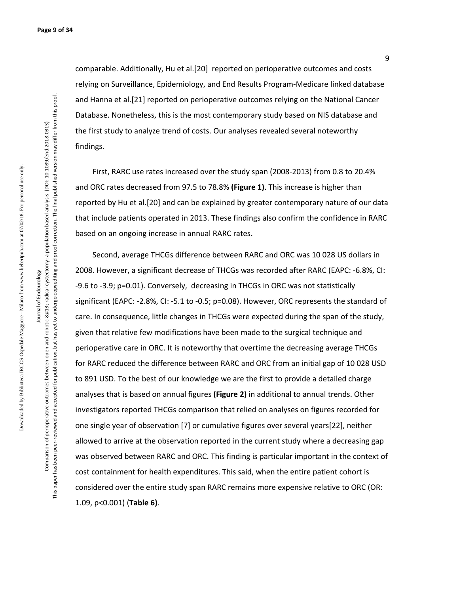comparable. Additionally, Hu et al.[20] reported on perioperative outcomes and costs relying on Surveillance, Epidemiology, and End Results Program-Medicare linked database and Hanna et al.[21] reported on perioperative outcomes relying on the National Cancer Database. Nonetheless, this is the most contemporary study based on NIS database and the first study to analyze trend of costs. Our analyses revealed several noteworthy findings.

 First, RARC use rates increased over the study span (2008-2013) from 0.8 to 20.4% and ORC rates decreased from 97.5 to 78.8% **(Figure 1)**. This increase is higher than reported by Hu et al.[20] and can be explained by greater contemporary nature of our data that include patients operated in 2013. These findings also confirm the confidence in RARC based on an ongoing increase in annual RARC rates.

 Second, average THCGs difference between RARC and ORC was 10 028 US dollars in 2008. However, a significant decrease of THCGs was recorded after RARC (EAPC: -6.8%, CI: -9.6 to -3.9; p=0.01). Conversely, decreasing in THCGs in ORC was not statistically significant (EAPC: -2.8%, CI: -5.1 to -0.5; p=0.08). However, ORC represents the standard of care. In consequence, little changes in THCGs were expected during the span of the study, given that relative few modifications have been made to the surgical technique and perioperative care in ORC. It is noteworthy that overtime the decreasing average THCGs for RARC reduced the difference between RARC and ORC from an initial gap of 10 028 USD to 891 USD. To the best of our knowledge we are the first to provide a detailed charge analyses that is based on annual figures **(Figure 2)** in additional to annual trends. Other investigators reported THCGs comparison that relied on analyses on figures recorded for one single year of observation [7] or cumulative figures over several years[22], neither allowed to arrive at the observation reported in the current study where a decreasing gap was observed between RARC and ORC. This finding is particular important in the context of cost containment for health expenditures. This said, when the entire patient cohort is considered over the entire study span RARC remains more expensive relative to ORC (OR: 1.09, p<0.001) (**Table 6)**.

Journal of Endourology Comparison of perioperative outcomes between open and robotic 
radical cystectomy: a population based analysis (DOI: 10.1089/end.2018.0313) This paper has been peer-reviewed and accepted for publication, but has yet to undergo copyediting and proof correction. The final published version may differ from this proof.

Journal of Endourology

This paper has been peer-reviewed and accepted for publication, but has yet to undergo copyediting and proof correction. The final published version may differ from this proof. Comparison of perioperative outcomes between open and robotic 
radical cystectomy: a population based analysis (DOI: 10:1089/end.2018.0313)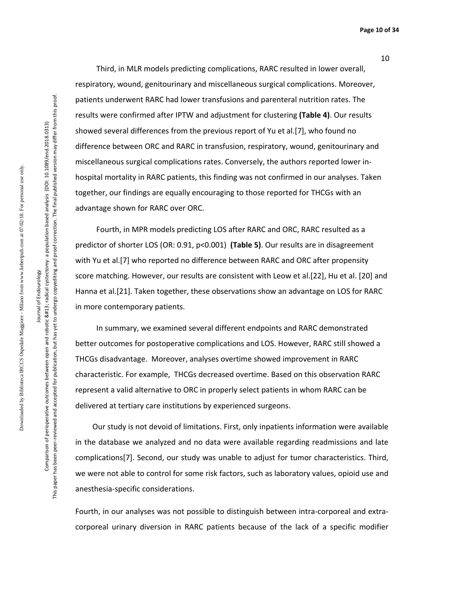**Page 10 of 34**

Downloaded by Biblioteca IRCCS Ospedale Maggiore - Milano from www.liebertpub.com at 07/02/18. For personal use only. Downloaded by Biblioteca IRCCS Ospedale Maggiore - Milano from www.liebertpub.com at 07/02/18. For personal use only

Journal of Endourology

This paper has been peer-reviewed and accepted for publication, but has yet to undergo copyediting and proof correction. The final published version may differ from this proof. This paper has been peer-reviewed and accepted for publication, but has yet to undergo copyediting and proof correction. The final published version may differ from this proof Comparison of perioperative outcomes between open and robotic 
radical cystectomy: a population based analysis (DOI: 10.1089/end.2018.0313) Comparison of perioperative outcomes between open and robotic 
radical cystectomy: a population based analysis (DOI: 10:1089/end.2018.0313) Journal of Endourology

 Third, in MLR models predicting complications, RARC resulted in lower overall, respiratory, wound, genitourinary and miscellaneous surgical complications. Moreover, patients underwent RARC had lower transfusions and parenteral nutrition rates. The results were confirmed after IPTW and adjustment for clustering **(Table 4)**. Our results showed several differences from the previous report of Yu et al.[7], who found no difference between ORC and RARC in transfusion, respiratory, wound, genitourinary and miscellaneous surgical complications rates. Conversely, the authors reported lower inhospital mortality in RARC patients, this finding was not confirmed in our analyses. Taken together, our findings are equally encouraging to those reported for THCGs with an advantage shown for RARC over ORC.

 Fourth, in MPR models predicting LOS after RARC and ORC, RARC resulted as a predictor of shorter LOS (OR: 0.91, p<0.001) **(Table 5)**. Our results are in disagreement with Yu et al.[7] who reported no difference between RARC and ORC after propensity score matching. However, our results are consistent with Leow et al.[22], Hu et al. [20] and Hanna et al.[21]. Taken together, these observations show an advantage on LOS for RARC in more contemporary patients.

 In summary, we examined several different endpoints and RARC demonstrated better outcomes for postoperative complications and LOS. However, RARC still showed a THCGs disadvantage. Moreover, analyses overtime showed improvement in RARC characteristic. For example, THCGs decreased overtime. Based on this observation RARC represent a valid alternative to ORC in properly select patients in whom RARC can be delivered at tertiary care institutions by experienced surgeons.

 Our study is not devoid of limitations. First, only inpatients information were available in the database we analyzed and no data were available regarding readmissions and late complications[7]. Second, our study was unable to adjust for tumor characteristics. Third, we were not able to control for some risk factors, such as laboratory values, opioid use and anesthesia-specific considerations.

Fourth, in our analyses was not possible to distinguish between intra-corporeal and extracorporeal urinary diversion in RARC patients because of the lack of a specific modifier

10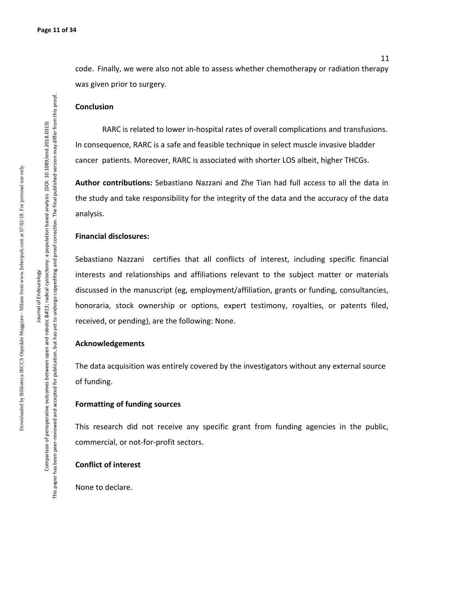code. Finally, we were also not able to assess whether chemotherapy or radiation therapy was given prior to surgery.

#### **Conclusion**

RARC is related to lower in-hospital rates of overall complications and transfusions. In consequence, RARC is a safe and feasible technique in select muscle invasive bladder cancer patients. Moreover, RARC is associated with shorter LOS albeit, higher THCGs.

**Author contributions:** Sebastiano Nazzani and Zhe Tian had full access to all the data in the study and take responsibility for the integrity of the data and the accuracy of the data analysis.

#### **Financial disclosures:**

Sebastiano Nazzani certifies that all conflicts of interest, including specific financial interests and relationships and affiliations relevant to the subject matter or materials discussed in the manuscript (eg, employment/affiliation, grants or funding, consultancies, honoraria, stock ownership or options, expert testimony, royalties, or patents filed, received, or pending), are the following: None.

#### **Acknowledgements**

The data acquisition was entirely covered by the investigators without any external source of funding.

#### **Formatting of funding sources**

This research did not receive any specific grant from funding agencies in the public, commercial, or not-for-profit sectors.

#### **Conflict of interest**

None to declare.

Journal of Endourology Comparison of perioperative outcomes between open and robotic 
radical cystectomy: a population based analysis (DOI: 10.1089/end.2018.0313) This paper has been peer-reviewed and accepted for publication, but has yet to undergo copyediting and proof correction. The final published version may differ from this proof.

Journal of Endourology

This paper has been peer-reviewed and accepted for publication, but has yet to undergo copyediting and proof correction. The final published version may differ from this proof. Comparison of perioperative outcomes between open and robotic 
radical cystectomy: a population based analysis (DOI: 10.1089/end.2018.0313)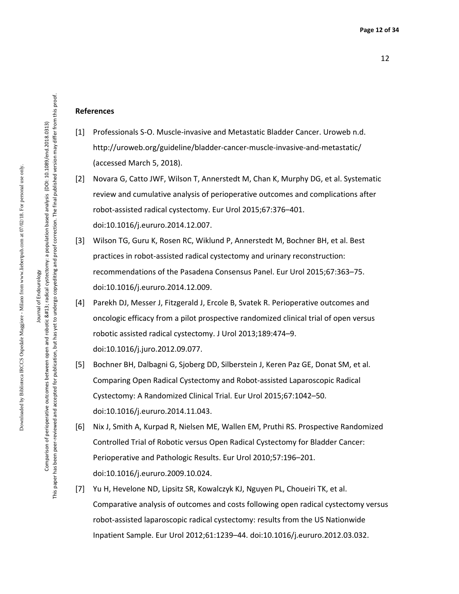#### **References**

- [1] Professionals S-O. Muscle-invasive and Metastatic Bladder Cancer. Uroweb n.d. http://uroweb.org/guideline/bladder-cancer-muscle-invasive-and-metastatic/ (accessed March 5, 2018).
- [2] Novara G, Catto JWF, Wilson T, Annerstedt M, Chan K, Murphy DG, et al. Systematic review and cumulative analysis of perioperative outcomes and complications after robot-assisted radical cystectomy. Eur Urol 2015;67:376–401. doi:10.1016/j.eururo.2014.12.007.
- [3] Wilson TG, Guru K, Rosen RC, Wiklund P, Annerstedt M, Bochner BH, et al. Best practices in robot-assisted radical cystectomy and urinary reconstruction: recommendations of the Pasadena Consensus Panel. Eur Urol 2015;67:363–75. doi:10.1016/j.eururo.2014.12.009.
- [4] Parekh DJ, Messer J, Fitzgerald J, Ercole B, Svatek R. Perioperative outcomes and oncologic efficacy from a pilot prospective randomized clinical trial of open versus robotic assisted radical cystectomy. J Urol 2013;189:474–9. doi:10.1016/j.juro.2012.09.077.
- [5] Bochner BH, Dalbagni G, Sjoberg DD, Silberstein J, Keren Paz GE, Donat SM, et al. Comparing Open Radical Cystectomy and Robot-assisted Laparoscopic Radical Cystectomy: A Randomized Clinical Trial. Eur Urol 2015;67:1042–50. doi:10.1016/j.eururo.2014.11.043.
- [6] Nix J, Smith A, Kurpad R, Nielsen ME, Wallen EM, Pruthi RS. Prospective Randomized Controlled Trial of Robotic versus Open Radical Cystectomy for Bladder Cancer: Perioperative and Pathologic Results. Eur Urol 2010;57:196–201. doi:10.1016/j.eururo.2009.10.024.
- [7] Yu H, Hevelone ND, Lipsitz SR, Kowalczyk KJ, Nguyen PL, Choueiri TK, et al. Comparative analysis of outcomes and costs following open radical cystectomy versus robot-assisted laparoscopic radical cystectomy: results from the US Nationwide Inpatient Sample. Eur Urol 2012;61:1239–44. doi:10.1016/j.eururo.2012.03.032.

Comparison of perioperative outcomes between open and robotic 
radical cystectomy: a population based analysis (DOI: 10.1089/end.2018.0313) This paper has been peer-reviewed and accepted for publication, but has yet to undergo copyediting and proof correction. The final published version may differ from this proof.

This paper has been peer-reviewed and accepted for publication, but has yet to undergo copyediting and proof correction. The final published version may differ from this proof Comparison of perioperative outcomes between open and robotic 
radical cystectomy: a population based analysis (DOI: 10.1089/end.2018.0313)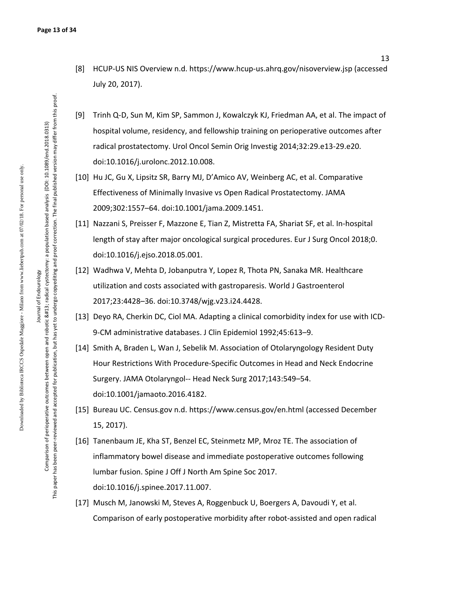- [8] HCUP-US NIS Overview n.d. https://www.hcup-us.ahrq.gov/nisoverview.jsp (accessed July 20, 2017).
- [9] Trinh Q-D, Sun M, Kim SP, Sammon J, Kowalczyk KJ, Friedman AA, et al. The impact of hospital volume, residency, and fellowship training on perioperative outcomes after radical prostatectomy. Urol Oncol Semin Orig Investig 2014;32:29.e13-29.e20. doi:10.1016/j.urolonc.2012.10.008.
- [10] Hu JC, Gu X, Lipsitz SR, Barry MJ, D'Amico AV, Weinberg AC, et al. Comparative Effectiveness of Minimally Invasive vs Open Radical Prostatectomy. JAMA 2009;302:1557–64. doi:10.1001/jama.2009.1451.
- [11] Nazzani S, Preisser F, Mazzone E, Tian Z, Mistretta FA, Shariat SF, et al. In-hospital length of stay after major oncological surgical procedures. Eur J Surg Oncol 2018;0. doi:10.1016/j.ejso.2018.05.001.
- [12] Wadhwa V, Mehta D, Jobanputra Y, Lopez R, Thota PN, Sanaka MR. Healthcare utilization and costs associated with gastroparesis. World J Gastroenterol 2017;23:4428–36. doi:10.3748/wjg.v23.i24.4428.
- [13] Deyo RA, Cherkin DC, Ciol MA. Adapting a clinical comorbidity index for use with ICD-9-CM administrative databases. J Clin Epidemiol 1992;45:613–9.
- [14] Smith A, Braden L, Wan J, Sebelik M. Association of Otolaryngology Resident Duty Hour Restrictions With Procedure-Specific Outcomes in Head and Neck Endocrine Surgery. JAMA Otolaryngol-- Head Neck Surg 2017;143:549–54. doi:10.1001/jamaoto.2016.4182.
- [15] Bureau UC. Census.gov n.d. https://www.census.gov/en.html (accessed December 15, 2017).
- [16] Tanenbaum JE, Kha ST, Benzel EC, Steinmetz MP, Mroz TE. The association of inflammatory bowel disease and immediate postoperative outcomes following lumbar fusion. Spine J Off J North Am Spine Soc 2017. doi:10.1016/j.spinee.2017.11.007.
- [17] Musch M, Janowski M, Steves A, Roggenbuck U, Boergers A, Davoudi Y, et al. Comparison of early postoperative morbidity after robot-assisted and open radical

13

Journal of Endourology Journal of Endourology Comparison of perioperative outcomes between open and robotic 
radical cystectomy: a population based analysis (DOI: 10.1089/end.2018.0313) This paper has been peer-reviewed and accepted for publication, but has yet to undergo copyediting and proof correction. The final published version may differ from this proof.

This paper has been peer-reviewed and accepted for publication, but has yet to undergo copyediting and proof correction. The final published version may differ from this proof. Comparison of perioperative outcomes between open and robotic 
radical cystectomy: a population based analysis (DOI: 10:099/end.2018.0313)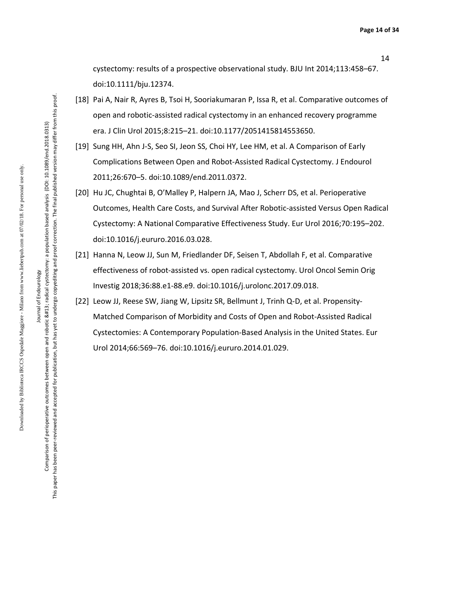cystectomy: results of a prospective observational study. BJU Int 2014;113:458–67. doi:10.1111/bju.12374.

- [18] Pai A, Nair R, Ayres B, Tsoi H, Sooriakumaran P, Issa R, et al. Comparative outcomes of open and robotic-assisted radical cystectomy in an enhanced recovery programme era. J Clin Urol 2015;8:215–21. doi:10.1177/2051415814553650.
- [19] Sung HH, Ahn J-S, Seo SI, Jeon SS, Choi HY, Lee HM, et al. A Comparison of Early Complications Between Open and Robot-Assisted Radical Cystectomy. J Endourol 2011;26:670–5. doi:10.1089/end.2011.0372.
- [20] Hu JC, Chughtai B, O'Malley P, Halpern JA, Mao J, Scherr DS, et al. Perioperative Outcomes, Health Care Costs, and Survival After Robotic-assisted Versus Open Radical Cystectomy: A National Comparative Effectiveness Study. Eur Urol 2016;70:195–202. doi:10.1016/j.eururo.2016.03.028.
- [21] Hanna N, Leow JJ, Sun M, Friedlander DF, Seisen T, Abdollah F, et al. Comparative effectiveness of robot-assisted vs. open radical cystectomy. Urol Oncol Semin Orig Investig 2018;36:88.e1-88.e9. doi:10.1016/j.urolonc.2017.09.018.
- [22] Leow JJ, Reese SW, Jiang W, Lipsitz SR, Bellmunt J, Trinh Q-D, et al. Propensity-Matched Comparison of Morbidity and Costs of Open and Robot-Assisted Radical Cystectomies: A Contemporary Population-Based Analysis in the United States. Eur Urol 2014;66:569–76. doi:10.1016/j.eururo.2014.01.029.

Downloaded by Biblioteca IRCCS Ospedale Maggiore - Milano from www.liebertpub.com at 07/02/18. For personal use only.

Downloaded by Biblioteca IRCCS Ospedale Maggiore - Milano from www.liebertpub.com at 07/02/18. For personal use only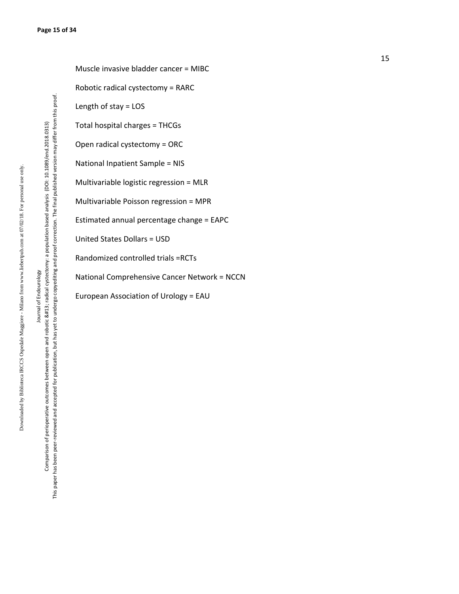Journal of Endourology Journal of Endourology

This paper has been peer-reviewed and accepted for publication, but has yet to undergo copyediting and proof correction. The final published version may differ from this proof. This paper has been peer-reviewed and accepted for publication, but has yet to undergo copyediting and proof correction. The final published version may differ from this proof. Comparison of perioperative outcomes between open and robotic 
radical cystectomy: a population based analysis (DOI: 10.1089/end.2018.0313) Comparison of perioperative outcomes between open and robotic 
radical cystectomy: a population based analysis (DOI: 10.1089/end.2018.0313)

Muscle invasive bladder cancer = MIBC Robotic radical cystectomy = RARC Length of stay = LOS Total hospital charges = THCGs Open radical cystectomy = ORC National Inpatient Sample = NIS Multivariable logistic regression = MLR Multivariable Poisson regression = MPR Estimated annual percentage change = EAPC United States Dollars = USD Randomized controlled trials =RCTs National Comprehensive Cancer Network = NCCN European Association of Urology = EAU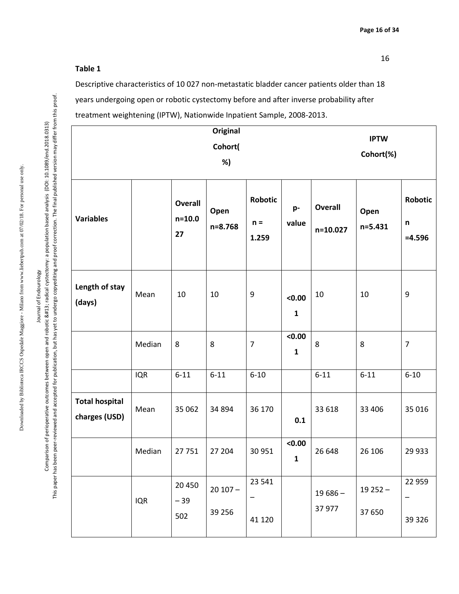#### **Table 1**

Descriptive characteristics of 10 027 non-metastatic bladder cancer patients older than 18 years undergoing open or robotic cystectomy before and after inverse probability after treatment weightening (IPTW), Nationwide Inpatient Sample, 2008-2013.

|                                        | Original<br>Cohort(<br>%) |                                    |                      |                                  |                        |                            | <b>IPTW</b><br>Cohort(%) |                                           |  |  |
|----------------------------------------|---------------------------|------------------------------------|----------------------|----------------------------------|------------------------|----------------------------|--------------------------|-------------------------------------------|--|--|
| <b>Variables</b>                       |                           | <b>Overall</b><br>$n = 10.0$<br>27 | Open<br>n=8.768      | <b>Robotic</b><br>$n =$<br>1.259 | p-<br>value            | <b>Overall</b><br>n=10.027 | Open<br>n=5.431          | <b>Robotic</b><br>$\mathsf n$<br>$=4.596$ |  |  |
| Length of stay<br>(days)               | Mean                      | 10                                 | 10                   | $\boldsymbol{9}$                 | < 0.00<br>$\mathbf{1}$ | 10                         | 10                       | $\boldsymbol{9}$                          |  |  |
|                                        | Median                    | 8                                  | 8                    | $\overline{7}$                   | < 0.00<br>$\mathbf{1}$ | 8                          | 8                        | $\overline{7}$                            |  |  |
|                                        | <b>IQR</b>                | $6 - 11$                           | $6 - 11$             | $6 - 10$                         |                        | $6 - 11$                   | $6 - 11$                 | $6 - 10$                                  |  |  |
| <b>Total hospital</b><br>charges (USD) | Mean                      | 35 062                             | 34 894               | 36 170                           | 0.1                    | 33 618                     | 33 406                   | 35 016                                    |  |  |
|                                        | Median                    | 27751                              | 27 204               | 30 951                           | < 0.00<br>1            | 26 648                     | 26 10 6                  | 29 9 33                                   |  |  |
|                                        | <b>IQR</b>                | 20 450<br>$-39$<br>502             | $20107 -$<br>39 25 6 | 23 541<br>41 120                 |                        | $19686 -$<br>37 977        | $19252 -$<br>37 650      | 22 9 59<br>—<br>39 3 26                   |  |  |

This paper has been peer-reviewed and accepted for publication, but has yet to undergo copyediting and proof correction. The final published version may differ from this proof.

This paper has been peer-reviewed and accepted for publication, but has yet to undergo copyediting and proof correction. The final published version may differ from this proof.

16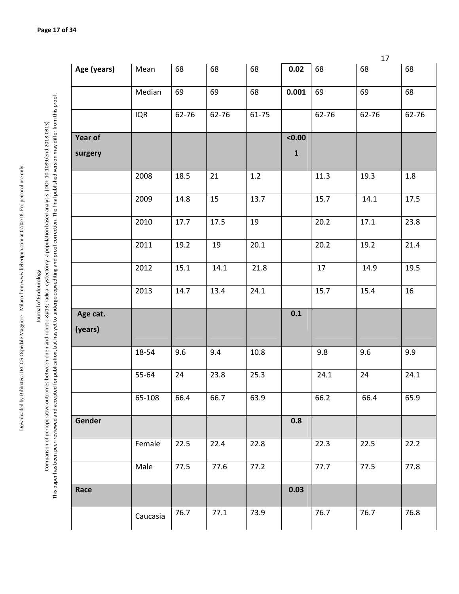| ï<br>; |
|--------|
|        |
|        |
|        |
|        |
|        |
|        |
| ļ      |
|        |
|        |
|        |
|        |
|        |
|        |
|        |
|        |
|        |
|        |
|        |
|        |
|        |
|        |
|        |
|        |
|        |
|        |
|        |
|        |
|        |
|        |
|        |
|        |
|        |
|        |
|        |
|        |
|        |
|        |
|        |
|        |
|        |
|        |
|        |
|        |
|        |
| ļ<br>١ |
|        |

Journal of Endourology Journal of Endourology

Comparison of perioperative outcomes between open and robotic 
radical cystectomy: a population based analysis (DOI: 10.1089/end.2018.0313) )<br>Jen

|                                                                                                | 5<br>ļ                                                         |
|------------------------------------------------------------------------------------------------|----------------------------------------------------------------|
|                                                                                                |                                                                |
| Ì<br>ì                                                                                         |                                                                |
|                                                                                                |                                                                |
|                                                                                                | i                                                              |
|                                                                                                |                                                                |
| ١                                                                                              |                                                                |
| $\frac{1}{2}$                                                                                  |                                                                |
| ֕<br>Ĺ                                                                                         |                                                                |
|                                                                                                |                                                                |
|                                                                                                |                                                                |
|                                                                                                | ֖֖֖֖֖֖֖֖֖֧֖֖֖֖֖֖֧֖֚֚֚֚֚֚֚֚֚֚֚֚֚֚֚֚֚֚֚֚֚֚֚֚֚֚֬֝֓֞֡֝֓֞֓֡֓֬֝֓֞֓֞֞ |
|                                                                                                | j                                                              |
| I                                                                                              | ֚֚֘֝<br>֧֚֚֚֚֚֚֚֚֚֚֝֝֝֝֝<br>֧ <u>֚</u>                         |
| ţ                                                                                              |                                                                |
|                                                                                                |                                                                |
| I<br>١                                                                                         |                                                                |
|                                                                                                | ١                                                              |
|                                                                                                | i<br>i                                                         |
| ī                                                                                              |                                                                |
| ì                                                                                              | ;<br>;                                                         |
|                                                                                                |                                                                |
|                                                                                                |                                                                |
|                                                                                                |                                                                |
|                                                                                                |                                                                |
|                                                                                                | į                                                              |
|                                                                                                | 5                                                              |
|                                                                                                |                                                                |
|                                                                                                |                                                                |
|                                                                                                | j<br>I                                                         |
| j<br>ׇ֚֬֡                                                                                      | ć<br>j<br>)<br>}<br>}                                          |
| aor<br>١                                                                                       | ֞<br>ì<br>;                                                    |
|                                                                                                | İ                                                              |
| I<br>í<br>ׇ֚֬֓֡<br>i                                                                           | ֦<br>l                                                         |
| ֧֧֧ׅ֧֧ׅ֧֧֧֧֧֧ׅ֧֧ׅ֧֧֧֧ׅ֧֧֧֛֪֧֧֧֧֧֧֚֚֚֚֚֚֚֚֚֚֚֚֚֚֚֝֓֜֓֓֜֓֓֝֓֝֬֝֓֝֬֜֓֬֜֓֜֜֓֬֜֬֝֬֝֬<br>֧֧֧֧֧֜<br>i |                                                                |
|                                                                                                | Ó<br>ś<br>ì                                                    |
|                                                                                                | j<br>i<br>ś<br>ī<br>í                                          |
|                                                                                                | Ì                                                              |

|                |            |       |       |       |             |       | 17    |       |
|----------------|------------|-------|-------|-------|-------------|-------|-------|-------|
| Age (years)    | Mean       | 68    | 68    | 68    | 0.02        | 68    | 68    | 68    |
|                | Median     | 69    | 69    | 68    | 0.001       | 69    | 69    | 68    |
|                | <b>IQR</b> | 62-76 | 62-76 | 61-75 |             | 62-76 | 62-76 | 62-76 |
| <b>Year of</b> |            |       |       |       | < 0.00      |       |       |       |
| surgery        |            |       |       |       | $\mathbf 1$ |       |       |       |
|                | 2008       | 18.5  | 21    | $1.2$ |             | 11.3  | 19.3  | 1.8   |
|                | 2009       | 14.8  | 15    | 13.7  |             | 15.7  | 14.1  | 17.5  |
|                | 2010       | 17.7  | 17.5  | 19    |             | 20.2  | 17.1  | 23.8  |
|                | 2011       | 19.2  | 19    | 20.1  |             | 20.2  | 19.2  | 21.4  |
|                | 2012       | 15.1  | 14.1  | 21.8  |             | 17    | 14.9  | 19.5  |
|                | 2013       | 14.7  | 13.4  | 24.1  |             | 15.7  | 15.4  | 16    |
| Age cat.       |            |       |       |       | 0.1         |       |       |       |
| (years)        |            |       |       |       |             |       |       |       |
|                | 18-54      | 9.6   | 9.4   | 10.8  |             | 9.8   | 9.6   | 9.9   |
|                | 55-64      | 24    | 23.8  | 25.3  |             | 24.1  | 24    | 24.1  |
|                | 65-108     | 66.4  | 66.7  | 63.9  |             | 66.2  | 66.4  | 65.9  |
| Gender         |            |       |       |       | 0.8         |       |       |       |
|                | Female     | 22.5  | 22.4  | 22.8  |             | 22.3  | 22.5  | 22.2  |
|                | Male       | 77.5  | 77.6  | 77.2  |             | 77.7  | 77.5  | 77.8  |
| Race           |            |       |       |       | 0.03        |       |       |       |
|                | Caucasia   | 76.7  | 77.1  | 73.9  |             | 76.7  | 76.7  | 76.8  |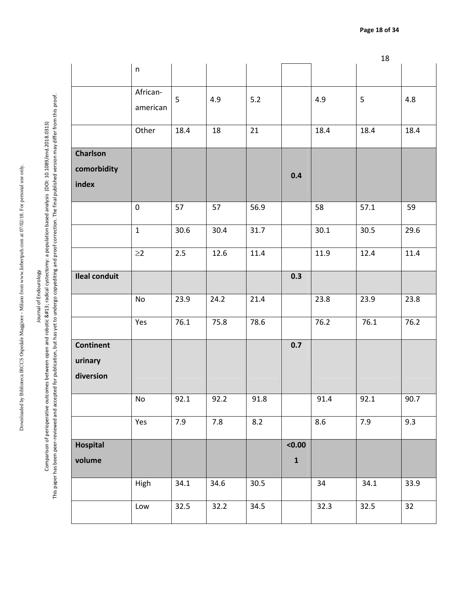Downloaded by Biblioteca IRCCS Ospedale Maggiore - Milano from www.liebertpub.com at 07/02/18. For personal use only. Downloaded by Biblioteca IRCCS Ospedale Maggiore - Milano from www.liebertpub.com at 07/02/18. For personal use only.

Journal of Endourology

This paper has been peer-reviewed and accepted for publication, but has yet to undergo copyediting and proof correction. The final published version may differ from this proof. This paper has been peer-reviewed and accepted for publication, but has yet to undergo copyediting and proof correction. The final published version may differ from this proof. Journal of perioperative outcomes between open and robotic 
radical cystectomy: a population based analysis (DOI:10.1089/end.2018.0313)<br>Comparison of perioperative outcomes between open and robotic &#13; radical cyste Comparison of perioperative outcomes between open and robotic 
radical cystectomy: a population based analysis (DOI: 10.1089/end.2018.0313)

|                             |                      |      |      |      |           |      | 18   |      |
|-----------------------------|----------------------|------|------|------|-----------|------|------|------|
|                             | $\sf n$              |      |      |      |           |      |      |      |
|                             | African-<br>american | 5    | 4.9  | 5.2  |           | 4.9  | 5    | 4.8  |
|                             | Other                | 18.4 | 18   | 21   |           | 18.4 | 18.4 | 18.4 |
| <b>Charlson</b>             |                      |      |      |      |           |      |      |      |
| comorbidity<br>index        |                      |      |      |      | 0.4       |      |      |      |
|                             | $\pmb{0}$            | 57   | 57   | 56.9 |           | 58   | 57.1 | 59   |
|                             | $\mathbf{1}$         | 30.6 | 30.4 | 31.7 |           | 30.1 | 30.5 | 29.6 |
|                             | $\geq$ 2             | 2.5  | 12.6 | 11.4 |           | 11.9 | 12.4 | 11.4 |
| <b>Ileal conduit</b>        |                      |      |      |      | 0.3       |      |      |      |
|                             | No                   | 23.9 | 24.2 | 21.4 |           | 23.8 | 23.9 | 23.8 |
|                             | Yes                  | 76.1 | 75.8 | 78.6 |           | 76.2 | 76.1 | 76.2 |
| <b>Continent</b><br>urinary |                      |      |      |      | 0.7       |      |      |      |
| diversion                   |                      |      |      |      |           |      |      |      |
|                             | No                   | 92.1 | 92.2 | 91.8 |           | 91.4 | 92.1 | 90.7 |
|                             | Yes                  | 7.9  | 7.8  | 8.2  |           | 8.6  | 7.9  | 9.3  |
| Hospital                    |                      |      |      |      | < 0.00    |      |      |      |
| volume                      |                      |      |      |      | ${\bf 1}$ |      |      |      |
|                             | High                 | 34.1 | 34.6 | 30.5 |           | 34   | 34.1 | 33.9 |
|                             | Low                  | 32.5 | 32.2 | 34.5 |           | 32.3 | 32.5 | 32   |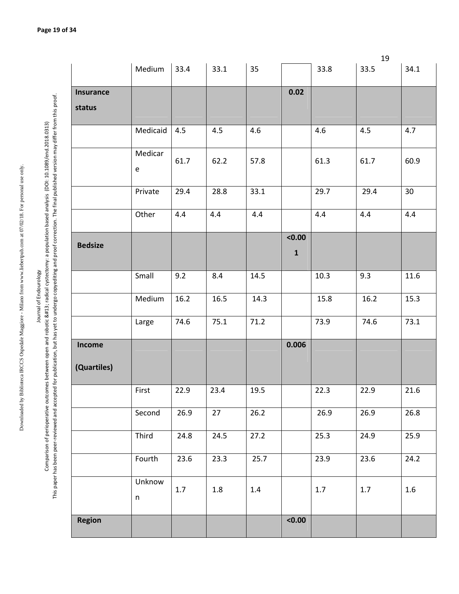| $\overline{a}$   |  |
|------------------|--|
|                  |  |
|                  |  |
|                  |  |
|                  |  |
|                  |  |
|                  |  |
|                  |  |
|                  |  |
|                  |  |
|                  |  |
|                  |  |
|                  |  |
|                  |  |
|                  |  |
|                  |  |
| -<br>-<br>-<br>- |  |
|                  |  |
|                  |  |
|                  |  |
|                  |  |
|                  |  |
|                  |  |
|                  |  |
|                  |  |
|                  |  |
|                  |  |
|                  |  |
|                  |  |
|                  |  |
|                  |  |
|                  |  |
|                  |  |
|                  |  |
|                  |  |
|                  |  |
|                  |  |
|                  |  |
|                  |  |
|                  |  |
| くくくくし            |  |
|                  |  |
|                  |  |
|                  |  |
|                  |  |
|                  |  |
|                  |  |
|                  |  |
|                  |  |
|                  |  |
|                  |  |
|                  |  |
|                  |  |
|                  |  |
| ļ<br>I           |  |

Journal of Endourology

This paper has been peer-reviewed and accepted for publication, but has yet to undergo copyediting and proof correction. The final published version may differ from this proof. This paper has been peer-reviewed and accepted for publication, but has yet to undergo copyediting and proof correction. The final published version may differ from this proof. Journal of perioperative outcomes between open and robotic 
radical cystectomy: a population based analysis (DOI:10.1089/end.2018.0313)<br>Comparison of perioperative outcomes between open and robotic &#13; radical cyste Comparison of perioperative outcomes between open and robotic 
radical cystectomy: a population based analysis (DOI: 10.1089/end.2018.0313)

|                       |                                              |      |      |      |                       |         | 19   |      |
|-----------------------|----------------------------------------------|------|------|------|-----------------------|---------|------|------|
|                       | Medium                                       | 33.4 | 33.1 | 35   |                       | 33.8    | 33.5 | 34.1 |
| <b>Insurance</b>      |                                              |      |      |      | 0.02                  |         |      |      |
| status                |                                              |      |      |      |                       |         |      |      |
|                       | Medicaid                                     | 4.5  | 4.5  | 4.6  |                       | 4.6     | 4.5  | 4.7  |
|                       | Medicar<br>$\mathsf{e}% _{t}\left( t\right)$ | 61.7 | 62.2 | 57.8 |                       | 61.3    | 61.7 | 60.9 |
|                       | Private                                      | 29.4 | 28.8 | 33.1 |                       | 29.7    | 29.4 | 30   |
|                       | Other                                        | 4.4  | 4.4  | 4.4  |                       | 4.4     | 4.4  | 4.4  |
| <b>Bedsize</b>        |                                              |      |      |      | < 0.00<br>$\mathbf 1$ |         |      |      |
|                       | Small                                        | 9.2  | 8.4  | 14.5 |                       | 10.3    | 9.3  | 11.6 |
|                       | Medium                                       | 16.2 | 16.5 | 14.3 |                       | 15.8    | 16.2 | 15.3 |
|                       | Large                                        | 74.6 | 75.1 | 71.2 |                       | 73.9    | 74.6 | 73.1 |
| Income<br>(Quartiles) |                                              |      |      |      | 0.006                 |         |      |      |
|                       | First                                        | 22.9 | 23.4 | 19.5 |                       | 22.3    | 22.9 | 21.6 |
|                       | Second                                       | 26.9 | 27   | 26.2 |                       | 26.9    | 26.9 | 26.8 |
|                       | Third                                        | 24.8 | 24.5 | 27.2 |                       | 25.3    | 24.9 | 25.9 |
|                       | Fourth                                       | 23.6 | 23.3 | 25.7 |                       | 23.9    | 23.6 | 24.2 |
|                       | Unknow<br>$\sf n$                            | 1.7  | 1.8  | 1.4  |                       | $1.7\,$ | 1.7  | 1.6  |
| <b>Region</b>         |                                              |      |      |      | < 0.00                |         |      |      |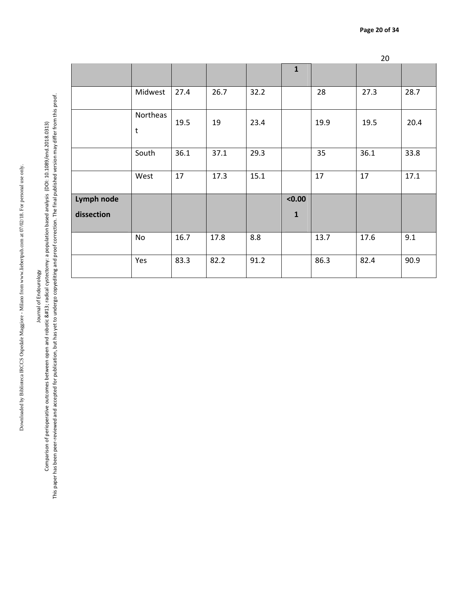20 **1** Midwest 27.4 26.7 23.2 28 28.7 Northeas t 19.5 | 19 | 23.4 | | 19.9 | 19.5 | 20.4 | South | 36.1 | 37.1 | 29.3 | | | | 35 | | | 36.1 | | | 33.8 West 17 17.3 15.1 17 17 17.1 **Lymph node dissection <0.00 1**  No | 16.7 | 17.8 | 8.8 | | | 13.7 | 17.6 | 9.1 Yes | 83.3 | 82.2 | 91.2 | | | | 86.3 | | | 82.4 | | | 90.9

Journal of Endourology Journal of Endourology

Downloaded by Biblioteca IRCCS Ospedale Maggiore - Milano from www.liebertpub.com at 07/02/18. For personal use only.

Downloaded by Biblioteca IRCCS Ospedale Maggiore - Milano from www.liebertpub.com at 07/02/18. For personal use only.

This paper has been peer-reviewed and accepted for publication, but has yet to undergo copyediting and proof correction. The final published version may differ from this proof. This paper has been peer-reviewed and accepted for publication, but has yet to undergo copyediting and proof correction. The final published version may differ from this proof. Comparison of perioperative outcomes between open and robotic 
radical cystectomy: a population based analysis (DOI: 10.1089/end.2018.0313) Comparison of perioperative outcomes between open and robotic 
radical cystectomy: a population based analysis (DOI: 10.1089/end.2018.0313)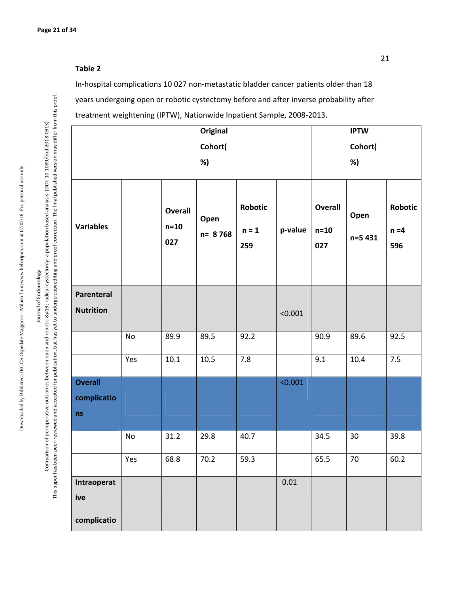#### **Table 2**

In-hospital complications 10 027 non-metastatic bladder cancer patients older than 18 years undergoing open or robotic cystectomy before and after inverse probability after treatment weightening (IPTW), Nationwide Inpatient Sample, 2008-2013.

|                                     |     |                          | Original        |                                  |          |                                 | <b>IPTW</b>     |                                  |
|-------------------------------------|-----|--------------------------|-----------------|----------------------------------|----------|---------------------------------|-----------------|----------------------------------|
|                                     |     |                          | Cohort(         |                                  |          |                                 | Cohort(         |                                  |
|                                     |     |                          | %)              |                                  |          |                                 | %)              |                                  |
| <b>Variables</b>                    |     | Overall<br>$n=10$<br>027 | Open<br>n= 8768 | <b>Robotic</b><br>$n = 1$<br>259 | p-value  | <b>Overall</b><br>$n=10$<br>027 | Open<br>n=5 431 | <b>Robotic</b><br>$n = 4$<br>596 |
| Parenteral<br><b>Nutrition</b>      |     |                          |                 |                                  | < 0.001  |                                 |                 |                                  |
|                                     | No  | 89.9                     | 89.5            | 92.2                             |          | 90.9                            | 89.6            | 92.5                             |
|                                     | Yes | $10.1\,$                 | 10.5            | 7.8                              |          | 9.1                             | 10.4            | 7.5                              |
| <b>Overall</b><br>complicatio<br>ns |     |                          |                 |                                  | < 0.001  |                                 |                 |                                  |
|                                     | No  | 31.2                     | 29.8            | 40.7                             |          | 34.5                            | 30              | 39.8                             |
|                                     | Yes | 68.8                     | 70.2            | 59.3                             |          | 65.5                            | 70              | 60.2                             |
| Intraoperat<br>ive<br>complicatio   |     |                          |                 |                                  | $0.01\,$ |                                 |                 |                                  |

Journal of Endourology Journal of Endourology

Comparison of perioperative outcomes between open and robotic 
radical cystectomy: a population based analysis (DOI: 10.1089/end.2018.0313) This paper has been peer-reviewed and accepted for publication, but has yet to undergo copyediting and proof correction. The final published version may differ from this proof.

This paper has been peer-reviewed and accepted for publication, but has yet to undergo copyediting and proof correction. The final published version may differ from this proof. Comparison of perioperative outcomes between open and robotic 
radical cystectomy: a population based analysis (DOI: 10.1089/end.2018.0313)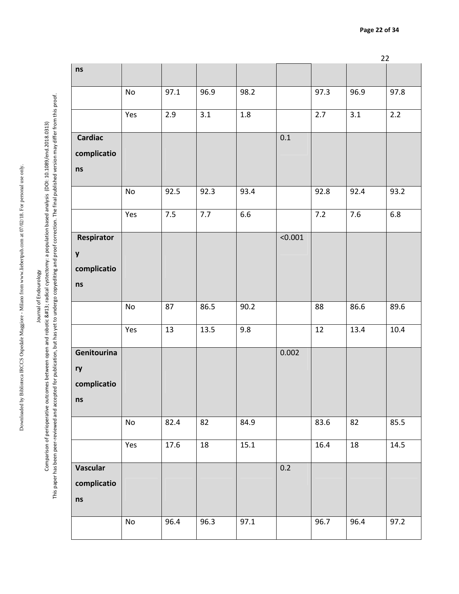22

**ns** No 97.1 96.9 98.2 97.3 96.9 97.8 This paper has been peer-reviewed and accepted for publication, but has yet to undergo copyediting and proof correction. The final published version may differ from this proof. This paper has been peer-reviewed and accepted for publication, but has yet to undergo copyediting and proof correction. The final published version may differ from this proof. Yes 2.9 3.1 1.8 2.7 3.1 2.2  **Cardiac**  0.1 **complicatio ns**  No 92.5 92.3 93.4 92.8 92.4 93.2 Yes | 7.5 | 7.7 | 6.6 | | | | | 7.2 | | | 7.6 | | 6.8 **Respirator** <0.001 **y complicatio ns** | No | 87 | 86.5 | 90.2 | 88 | 86.6 | 89.6 | Yes | 13 | 13.5 | 9.8 | | | | 12 | 13.4 | 10.4 **Genitourina** 0.002 **ry complicatio ns**  No | 82.4 | 82 | 84.9 | 83.6 | 82 | 85.5 | Yes | 17.6 | 18 | 15.1 | | | | 16.4 | 18 | | 14.5 0.2 **Vascular complicatio ns**  No 96.4 96.3 97.1 96.7 96.4 97.2

Downloaded by Biblioteca IRCCS Ospedale Maggiore - Milano from www.liebertpub.com at 07/02/18. For personal use only.

Downloaded by Biblioteca IRCCS Ospedale Maggiore - Milano from www.liebertpub.com at 07/02/18. For personal use only.

# Journal of Endourology Journal of Endourology

Comparison of perioperative outcomes between open and robotic 
radical cystectomy: a population based analysis (DOI: 10.1089/end.2018.0313)

Comparison of perioperative outcomes between open and robotic 
radical cystectomy: a population based analysis (DOI:10.1089/end.2018.0313)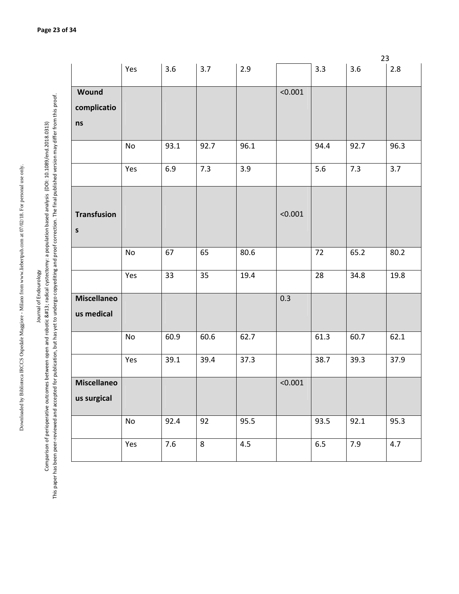Downloaded by Biblioteca IRCCS Ospedale Maggiore - Milano from www.liebertpub.com at 07/02/18. For personal use only. Downloaded by Biblioteca IRCCS Ospedale Maggiore - Milano from www.liebertpub.com at 07/02/18. For personal use only.

Journal of Endourology

This paper has been peer-reviewed and accepted for publication, but has yet to undergo copyediting and proof correction. The final published version may differ from this proof. This paper has been peer-reviewed and accepted for publication, but has yet to undergo copyediting and proof correction. The final published version may differ from this proof. Journal of perioperative outcomes between open and robotic 
radical cystectomy: a population based analysis (DOI:10.1089/end.2018.0313)<br>Comparison of perioperative outcomes between open and robotic &#13; radical cyste Comparison of perioperative outcomes between open and robotic 
radical cystectomy: a population based analysis (DOI: 10.1089/end.2018.0313)

|                    |                              |      |         |      |         |      | 23   |       |
|--------------------|------------------------------|------|---------|------|---------|------|------|-------|
|                    | Yes                          | 3.6  | 3.7     | 2.9  |         | 3.3  | 3.6  | $2.8$ |
| Wound              |                              |      |         |      | < 0.001 |      |      |       |
| complicatio        |                              |      |         |      |         |      |      |       |
|                    |                              |      |         |      |         |      |      |       |
| ns                 |                              |      |         |      |         |      |      |       |
|                    | No                           | 93.1 | 92.7    | 96.1 |         | 94.4 | 92.7 | 96.3  |
|                    | Yes                          | 6.9  | 7.3     | 3.9  |         | 5.6  | 7.3  | 3.7   |
|                    |                              |      |         |      |         |      |      |       |
| <b>Transfusion</b> |                              |      |         |      | < 0.001 |      |      |       |
| $\sf s$            |                              |      |         |      |         |      |      |       |
|                    | No                           | 67   | 65      | 80.6 |         | 72   | 65.2 | 80.2  |
|                    | Yes                          | 33   | 35      | 19.4 |         | 28   | 34.8 | 19.8  |
| <b>Miscellaneo</b> |                              |      |         |      | 0.3     |      |      |       |
| us medical         |                              |      |         |      |         |      |      |       |
|                    | No                           | 60.9 | 60.6    | 62.7 |         | 61.3 | 60.7 | 62.1  |
|                    | Yes                          | 39.1 | 39.4    | 37.3 |         | 38.7 | 39.3 | 37.9  |
| <b>Miscellaneo</b> |                              |      |         |      | < 0.001 |      |      |       |
| us surgical        |                              |      |         |      |         |      |      |       |
|                    | $\operatorname{\mathsf{No}}$ | 92.4 | 92      | 95.5 |         | 93.5 | 92.1 | 95.3  |
|                    | Yes                          | 7.6  | $\,8\,$ | 4.5  |         | 6.5  | 7.9  | 4.7   |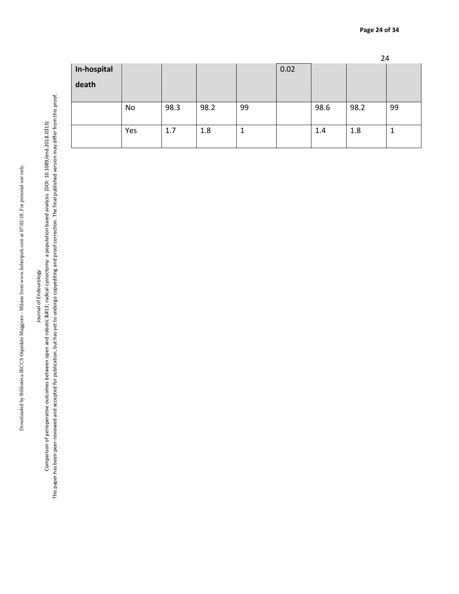# Journal of Endourology

This paper has been peer-reviewed and accepted for publication, but has yet to undergo copyediting and proof correction. The final published version may differ from this proof. This paper has been peer-reviewed and accepted for publication, but has yet to undergo copyediting and proof correction. The final published version may differ from this proof. Journal of perioperative outcomes between open and robotic 
radical cystectomy: a population based analysis (DOI:10.1089/end.2018.0313)<br>Comparison of perioperative outcomes between open and robotic &#13; radical cyste Comparison of perioperative outcomes between open and robotic 
radical cystectomy: a population based analysis (DOI: 10.1089/end.2018.0313)

|             |     |      |      |        |      |      | 24   |    |
|-------------|-----|------|------|--------|------|------|------|----|
| In-hospital |     |      |      |        | 0.02 |      |      |    |
| death       |     |      |      |        |      |      |      |    |
|             |     |      |      |        |      |      |      |    |
|             | No  | 98.3 | 98.2 | 99     |      | 98.6 | 98.2 | 99 |
|             |     |      |      |        |      |      |      |    |
|             | Yes | 1.7  | 1.8  | 1<br>ш |      | 1.4  | 1.8  |    |
|             |     |      |      |        |      |      |      |    |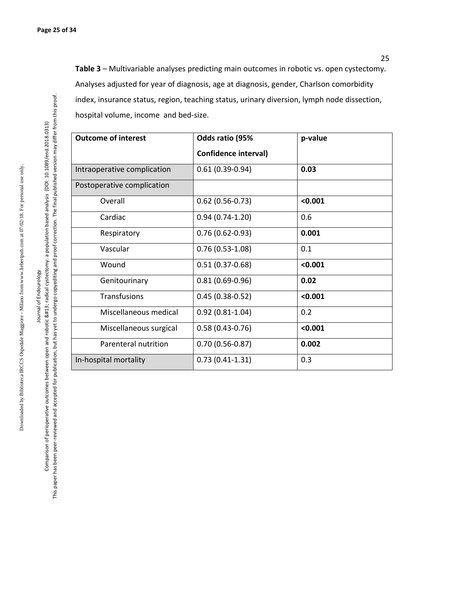**Table 3** – Multivariable analyses predicting main outcomes in robotic vs. open cystectomy. Analyses adjusted for year of diagnosis, age at diagnosis, gender, Charlson comorbidity index, insurance status, region, teaching status, urinary diversion, lymph node dissection, hospital volume, income and bed-size.

| <b>Outcome of interest</b>  | Odds ratio (95%      | p-value |
|-----------------------------|----------------------|---------|
|                             | Confidence interval) |         |
| Intraoperative complication | $0.61(0.39-0.94)$    | 0.03    |
| Postoperative complication  |                      |         |
| Overall                     | $0.62$ (0.56-0.73)   | < 0.001 |
| Cardiac                     | $0.94(0.74-1.20)$    | 0.6     |
| Respiratory                 | $0.76(0.62 - 0.93)$  | 0.001   |
| Vascular                    | $0.76(0.53-1.08)$    | 0.1     |
| Wound                       | $0.51(0.37-0.68)$    | < 0.001 |
| Genitourinary               | $0.81(0.69-0.96)$    | 0.02    |
| Transfusions                | $0.45(0.38-0.52)$    | < 0.001 |
| Miscellaneous medical       | $0.92(0.81 - 1.04)$  | 0.2     |
| Miscellaneous surgical      | $0.58(0.43 - 0.76)$  | < 0.001 |
| Parenteral nutrition        | $0.70(0.56 - 0.87)$  | 0.002   |
| In-hospital mortality       | $0.73(0.41-1.31)$    | 0.3     |

Comparison of perioperative outcomes between open and robotic 
radical cystectomy: a population based analysis (DOI: 10.1089/end.2018.0313) This paper has been peer-reviewed and accepted for publication, but has yet to undergo copyediting and proof correction. The final published version may differ from this proof.

This paper has been peer-reviewed and accepted for publication, but has yet to undergo copyediting and proof correction. The final published version may differ from this proof. Comparison of perioperative outcomes between open and robotic 
radical cystectomy: a population based analysis (DOI: 10.1089/end.2018.0313)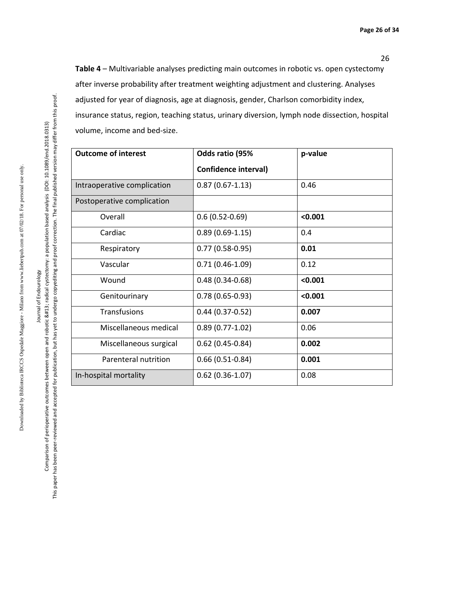26

**Table 4** – Multivariable analyses predicting main outcomes in robotic vs. open cystectomy after inverse probability after treatment weighting adjustment and clustering. Analyses adjusted for year of diagnosis, age at diagnosis, gender, Charlson comorbidity index, insurance status, region, teaching status, urinary diversion, lymph node dissection, hospital volume, income and bed-size.

| <b>Outcome of interest</b>  | Odds ratio (95%      | p-value |
|-----------------------------|----------------------|---------|
|                             | Confidence interval) |         |
| Intraoperative complication | $0.87(0.67-1.13)$    | 0.46    |
| Postoperative complication  |                      |         |
| Overall                     | $0.6(0.52-0.69)$     | < 0.001 |
| Cardiac                     | $0.89(0.69-1.15)$    | 0.4     |
| Respiratory                 | $0.77(0.58-0.95)$    | 0.01    |
| Vascular                    | $0.71(0.46-1.09)$    | 0.12    |
| Wound                       | $0.48(0.34 - 0.68)$  | < 0.001 |
| Genitourinary               | $0.78(0.65-0.93)$    | < 0.001 |
| <b>Transfusions</b>         | $0.44(0.37-0.52)$    | 0.007   |
| Miscellaneous medical       | $0.89(0.77-1.02)$    | 0.06    |
| Miscellaneous surgical      | $0.62$ (0.45-0.84)   | 0.002   |
| Parenteral nutrition        | $0.66(0.51-0.84)$    | 0.001   |
| In-hospital mortality       | $0.62(0.36-1.07)$    | 0.08    |

Downloaded by Biblioteca IRCCS Ospedale Maggiore - Milano from www.liebertpub.com at 07/02/18. For personal use only.

Downloaded by Biblioteca IRCCS Ospedale Maggiore - Milano from www.liebertpub.com at 07/02/18. For personal use only.

This paper has been peer-reviewed and accepted for publication, but has yet to undergo copyediting and proof correction. The final published version may differ from this proof.

This paper has been peer-reviewed and accepted for publication, but has yet to undergo copyediting and proof correction. The final published version may differ from this proof.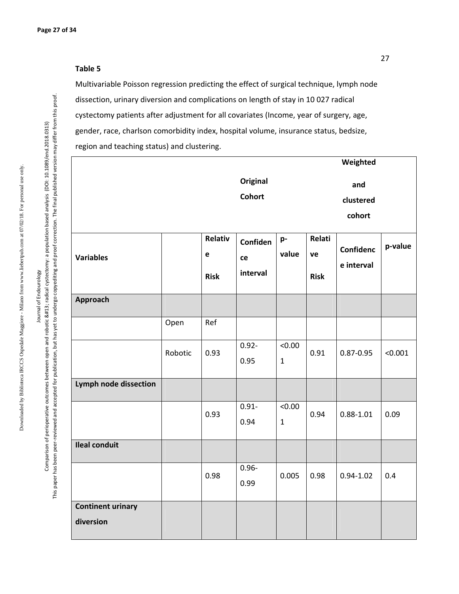#### **Table 5**

Multivariable Poisson regression predicting the effect of surgical technique, lymph node dissection, urinary diversion and complications on length of stay in 10 027 radical cystectomy patients after adjustment for all covariates (Income, year of surgery, age, gender, race, charlson comorbidity index, hospital volume, insurance status, bedsize, region and teaching status) and clustering.

|                                       |         |                             |                                  |                                   |                             | Weighted                       |         |
|---------------------------------------|---------|-----------------------------|----------------------------------|-----------------------------------|-----------------------------|--------------------------------|---------|
|                                       |         |                             | <b>Original</b><br><b>Cohort</b> |                                   |                             | and<br>clustered<br>cohort     |         |
| <b>Variables</b>                      |         | Relativ<br>e<br><b>Risk</b> | Confiden<br>ce<br>interval       | p-<br>value                       | Relati<br>ve<br><b>Risk</b> | <b>Confidenc</b><br>e interval | p-value |
| Approach                              |         |                             |                                  |                                   |                             |                                |         |
|                                       | Open    | Ref                         |                                  |                                   |                             |                                |         |
|                                       | Robotic | 0.93                        | $0.92 -$<br>0.95                 | 0.00 <sub>2</sub><br>$\mathbf{1}$ | 0.91                        | $0.87 - 0.95$                  | < 0.001 |
| <b>Lymph node dissection</b>          |         |                             |                                  |                                   |                             |                                |         |
|                                       |         | 0.93                        | $0.91 -$<br>0.94                 | 0.00 <sub>2</sub><br>$\mathbf{1}$ | 0.94                        | $0.88 - 1.01$                  | 0.09    |
| <b>Ileal conduit</b>                  |         |                             |                                  |                                   |                             |                                |         |
|                                       |         | 0.98                        | $0.96 -$<br>0.99                 | 0.005                             | 0.98                        | $0.94 - 1.02$                  | 0.4     |
| <b>Continent urinary</b><br>diversion |         |                             |                                  |                                   |                             |                                |         |

Comparison of perioperative outcomes between open and robotic 
radical cystectomy: a population based analysis (DOI: 10.1089/end.2018.0313) This paper has been peer-reviewed and accepted for publication, but has yet to undergo copyediting and proof correction. The final published version may differ from this proof.

This paper has been peer-reviewed and accepted for publication, but has yet to undergo copyediting and proof correction. The final published version may differ from this proof. Comparison of perioperative outcomes between open and robotic 
radical cystectomy: a population based analysis (DOI: 10.1089/end.2018.0313)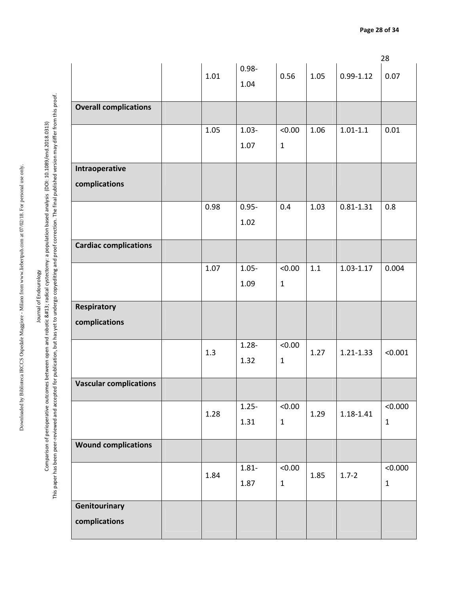Journal of Endourology Journal of Endourology

This paper has been peer-reviewed and accepted for publication, but has yet to undergo copyediting and proof correction. The final published version may differ from this proof. This paper has been peer-reviewed and accepted for publication, but has yet to undergo copyediting and proof correction. The final published version may differ from this proof. Comparison of perioperative outcomes between open and robotic 
radical cystectomy: a population based analysis (DOI: 10.1089/end.2018.0313) Comparison of perioperative outcomes between open and robotic 
radical cystectomy: a population based analysis (DOI: 10.1089/end.2018.0313)

|                               |      |          |                   |      |               | 28           |
|-------------------------------|------|----------|-------------------|------|---------------|--------------|
|                               | 1.01 | $0.98 -$ | 0.56              | 1.05 | $0.99 - 1.12$ | 0.07         |
|                               |      | 1.04     |                   |      |               |              |
|                               |      |          |                   |      |               |              |
| <b>Overall complications</b>  |      |          |                   |      |               |              |
|                               | 1.05 | $1.03 -$ | < 0.00            | 1.06 | $1.01 - 1.1$  | 0.01         |
|                               |      | 1.07     | $\mathbf 1$       |      |               |              |
|                               |      |          |                   |      |               |              |
| Intraoperative                |      |          |                   |      |               |              |
| complications                 |      |          |                   |      |               |              |
|                               |      |          |                   |      |               |              |
|                               | 0.98 | $0.95 -$ | 0.4               | 1.03 | $0.81 - 1.31$ | 0.8          |
|                               |      | 1.02     |                   |      |               |              |
|                               |      |          |                   |      |               |              |
| <b>Cardiac complications</b>  |      |          |                   |      |               |              |
|                               | 1.07 | $1.05 -$ | < 0.00            | 1.1  | $1.03 - 1.17$ | 0.004        |
|                               |      | 1.09     | $\mathbf{1}$      |      |               |              |
|                               |      |          |                   |      |               |              |
| Respiratory                   |      |          |                   |      |               |              |
| complications                 |      |          |                   |      |               |              |
|                               |      |          |                   |      |               |              |
|                               | 1.3  | $1.28 -$ | < 0.00            | 1.27 | $1.21 - 1.33$ | < 0.001      |
|                               |      | 1.32     | $\mathbf 1$       |      |               |              |
|                               |      |          |                   |      |               |              |
| <b>Vascular complications</b> |      |          |                   |      |               |              |
|                               |      | $1.25 -$ | 0.00 <sub>2</sub> |      |               | < 0.000      |
|                               | 1.28 | 1.31     | $\mathbf{1}$      | 1.29 | 1.18-1.41     | $\mathbf{1}$ |
|                               |      |          |                   |      |               |              |
| <b>Wound complications</b>    |      |          |                   |      |               |              |
|                               |      | $1.81 -$ | 0.00 <sub>2</sub> |      |               | < 0.000      |
|                               | 1.84 | 1.87     | $\mathbf 1$       | 1.85 | $1.7 - 2$     | $\mathbf 1$  |
|                               |      |          |                   |      |               |              |
| Genitourinary                 |      |          |                   |      |               |              |
| complications                 |      |          |                   |      |               |              |
|                               |      |          |                   |      |               |              |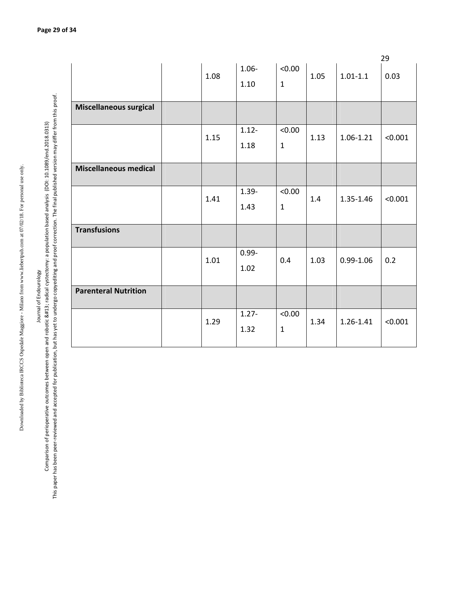| ı                  |
|--------------------|
| l                  |
|                    |
| $\frac{1}{2}$      |
|                    |
|                    |
|                    |
|                    |
|                    |
|                    |
|                    |
|                    |
|                    |
|                    |
|                    |
|                    |
|                    |
|                    |
|                    |
|                    |
|                    |
|                    |
|                    |
|                    |
|                    |
| $\ddot{\ddot{\ }}$ |
| ֕<br>۱             |
|                    |
|                    |
| --------           |
| Ċ<br>١             |

## Journal of Endourology Journal of Endourology

This paper has been peer-reviewed and accepted for publication, but has yet to undergo copyediting and proof correction. The final published version may differ from this proof. This paper has been peer-reviewed and accepted for publication, but has yet to undergo copyediting and proof correction. The final published version may differ from this proof. Comparison of perioperative outcomes between open and robotic 
radical cystectomy: a population based analysis (DOI:10.1089/end.2018.0313) Comparison of perioperative outcomes between open and robotic 
radical cystectomy: a population based analysis (DOI: 10.1089/end.2018.0313)

|                               |      |                  |                                   |      |               | 29      |
|-------------------------------|------|------------------|-----------------------------------|------|---------------|---------|
|                               | 1.08 | $1.06 -$<br>1.10 | 0.00 <sub>2</sub><br>$\mathbf{1}$ | 1.05 | $1.01 - 1.1$  | 0.03    |
| <b>Miscellaneous surgical</b> |      |                  |                                   |      |               |         |
|                               | 1.15 | $1.12 -$<br>1.18 | < 0.00<br>$\mathbf{1}$            | 1.13 | 1.06-1.21     | < 0.001 |
| <b>Miscellaneous medical</b>  |      |                  |                                   |      |               |         |
|                               | 1.41 | $1.39 -$<br>1.43 | < 0.00<br>$\mathbf{1}$            | 1.4  | 1.35-1.46     | < 0.001 |
| <b>Transfusions</b>           |      |                  |                                   |      |               |         |
|                               | 1.01 | $0.99 -$<br>1.02 | 0.4                               | 1.03 | $0.99 - 1.06$ | 0.2     |
| <b>Parenteral Nutrition</b>   |      |                  |                                   |      |               |         |
|                               | 1.29 | $1.27 -$<br>1.32 | < 0.00<br>$\mathbf{1}$            | 1.34 | 1.26-1.41     | < 0.001 |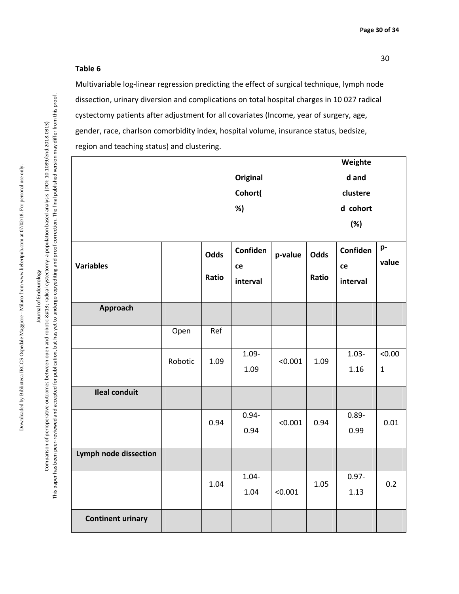30

#### **Table 6**

Multivariable log-linear regression predicting the effect of surgical technique, lymph node dissection, urinary diversion and complications on total hospital charges in 10 027 radical cystectomy patients after adjustment for all covariates (Income, year of surgery, age, gender, race, charlson comorbidity index, hospital volume, insurance status, bedsize, region and teaching status) and clustering.

|                              |         |       |                 |         |       | Weighte  |              |
|------------------------------|---------|-------|-----------------|---------|-------|----------|--------------|
|                              |         |       | <b>Original</b> |         |       | d and    |              |
|                              |         |       | Cohort(         |         |       | clustere |              |
|                              |         |       | %)              |         |       | d cohort |              |
|                              |         |       |                 |         |       | (%)      |              |
|                              |         | Odds  | Confiden        | p-value | Odds  | Confiden | p-           |
| <b>Variables</b>             |         |       | ce              |         |       | ce       | value        |
|                              |         | Ratio | interval        |         | Ratio | interval |              |
| Approach                     |         |       |                 |         |       |          |              |
|                              | Open    | Ref   |                 |         |       |          |              |
|                              |         |       | $1.09 -$        |         |       | $1.03 -$ | < 0.00       |
|                              | Robotic | 1.09  | 1.09            | < 0.001 | 1.09  | 1.16     | $\mathbf{1}$ |
| <b>Ileal conduit</b>         |         |       |                 |         |       |          |              |
|                              |         | 0.94  | $0.94 -$        | < 0.001 | 0.94  | $0.89 -$ | 0.01         |
|                              |         |       | 0.94            |         |       | 0.99     |              |
| <b>Lymph node dissection</b> |         |       |                 |         |       |          |              |
|                              |         |       | $1.04 -$        |         |       | $0.97 -$ | 0.2          |
|                              |         | 1.04  | 1.04            | < 0.001 | 1.05  | 1.13     |              |
| <b>Continent urinary</b>     |         |       |                 |         |       |          |              |

Journal of Endourology Comparison of perioperative outcomes between open and robotic 
radical cystectomy: a population based analysis (DOI: 10.1089/end.2018.0313) This paper has been peer-reviewed and accepted for publication, but has yet to undergo copyediting and proof correction. The final published version may differ from this proof.

Journal of Endourology

This paper has been peer-reviewed and accepted for publication, but has yet to undergo copyediting and proof correction. The final published version may differ from this proof. Comparison of perioperative outcomes between open and robotic 
radical cystectomy: a population based analysis (DOI: 10.1089/end.2018.0313)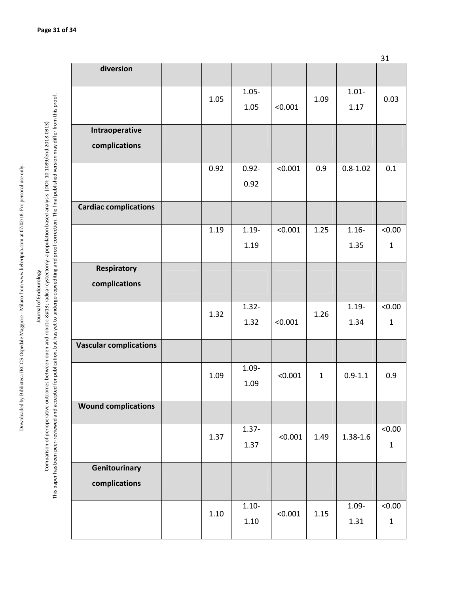This paper has been peer-reviewed and accepted for publication, but has yet to undergo copyediting and proof correction. The final published version may differ from this proof. This paper has been peer-reviewed and accepted for publication, but has yet to undergo copyediting and proof correction. The final published version may differ from this proof. Journal of perioperative outcomes between open and robotic 
radical cystectomy: a population based analysis (DOI: 10.1089/end.2018.0313)<br>Comparison of perioperative outcomes between open and robotic &#13; radical cyst Comparison of perioperative outcomes between open and robotic 
radical cystectomy: a population based analysis (DOI: 10.1089/end.2018.0313)

| diversion                       |      |                  |         |              |                  |                                   |
|---------------------------------|------|------------------|---------|--------------|------------------|-----------------------------------|
|                                 | 1.05 | $1.05 -$<br>1.05 | < 0.001 | 1.09         | $1.01 -$<br>1.17 | 0.03                              |
| Intraoperative<br>complications |      |                  |         |              |                  |                                   |
|                                 | 0.92 | $0.92 -$<br>0.92 | < 0.001 | 0.9          | $0.8 - 1.02$     | 0.1                               |
| <b>Cardiac complications</b>    |      |                  |         |              |                  |                                   |
|                                 | 1.19 | $1.19 -$<br>1.19 | < 0.001 | 1.25         | $1.16 -$<br>1.35 | 0.00 <sub>2</sub><br>$\mathbf{1}$ |
| Respiratory<br>complications    |      |                  |         |              |                  |                                   |
|                                 | 1.32 | $1.32 -$<br>1.32 | < 0.001 | 1.26         | $1.19 -$<br>1.34 | < 0.00<br>$\mathbf{1}$            |
| <b>Vascular complications</b>   |      |                  |         |              |                  |                                   |
|                                 | 1.09 | $1.09 -$<br>1.09 | < 0.001 | $\mathbf{1}$ | $0.9 - 1.1$      | 0.9                               |
| <b>Wound complications</b>      |      |                  |         |              |                  |                                   |
|                                 | 1.37 | $1.37 -$<br>1.37 | < 0.001 | 1.49         | $1.38 - 1.6$     | < 0.00<br>$\mathbf 1$             |
| Genitourinary<br>complications  |      |                  |         |              |                  |                                   |
|                                 | 1.10 | $1.10 -$<br>1.10 | < 0.001 | 1.15         | $1.09 -$<br>1.31 | < 0.00<br>$\mathbf{1}$            |

31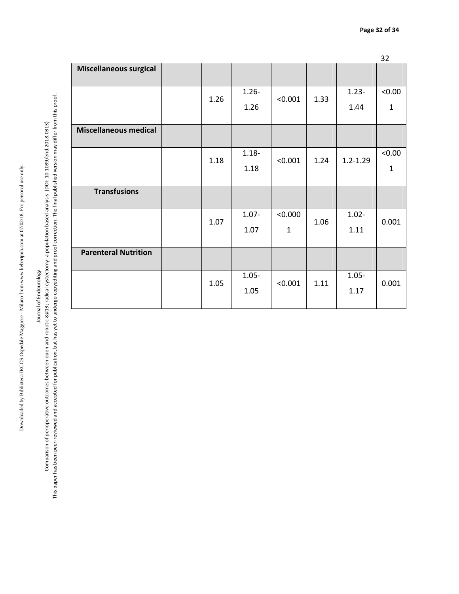# Journal of Endourology

This paper has been peer-reviewed and accepted for publication, but has yet to undergo copyediting and proof correction. The final published version may differ from this proof. This paper has been peer-reviewed and accepted for publication, but has yet to undergo copyediting and proof correction. The final published version may differ from this proof. Journal of perioperative outcomes between open and robotic 
radical cystectomy: a population based analysis (DOI: 10.1089/end.2018.0313)<br>Comparison of perioperative outcomes between open and robotic &#13; radical cyst Comparison of perioperative outcomes between open and robotic 
radical cystectomy: a population based analysis (DOI: 10.1089/end.2018.0313)

|                               |      |          |              |      |              | 32           |
|-------------------------------|------|----------|--------------|------|--------------|--------------|
| <b>Miscellaneous surgical</b> |      |          |              |      |              |              |
|                               |      |          |              |      |              | < 0.00       |
|                               | 1.26 | $1.26 -$ | < 0.001      | 1.33 | $1.23 -$     |              |
|                               |      | 1.26     |              |      | 1.44         | $\mathbf{1}$ |
|                               |      |          |              |      |              |              |
| <b>Miscellaneous medical</b>  |      |          |              |      |              |              |
|                               |      |          |              |      |              |              |
|                               | 1.18 | $1.18 -$ | < 0.001      | 1.24 | $1.2 - 1.29$ | < 0.00       |
|                               |      | 1.18     |              |      |              | $\mathbf{1}$ |
|                               |      |          |              |      |              |              |
| <b>Transfusions</b>           |      |          |              |      |              |              |
|                               |      |          |              |      |              |              |
|                               | 1.07 | $1.07 -$ | < 0.000      | 1.06 | $1.02 -$     | 0.001        |
|                               |      | 1.07     | $\mathbf{1}$ |      | 1.11         |              |
|                               |      |          |              |      |              |              |
| <b>Parenteral Nutrition</b>   |      |          |              |      |              |              |
|                               |      |          |              |      |              |              |
|                               | 1.05 | $1.05 -$ | < 0.001      | 1.11 | $1.05 -$     | 0.001        |
|                               |      | 1.05     |              |      | 1.17         |              |
|                               |      |          |              |      |              |              |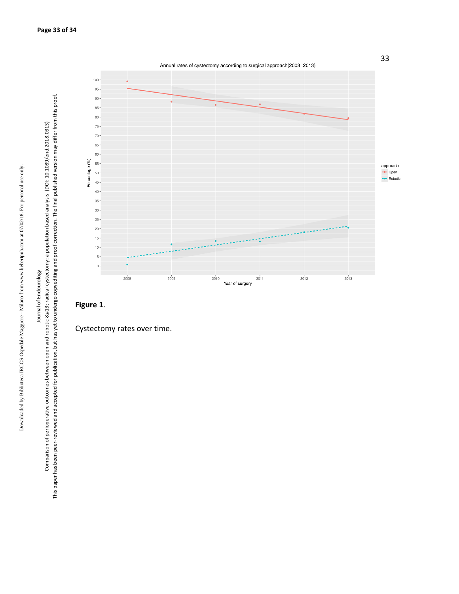





Downloaded by Biblioteca IRCCS Ospedale Maggiore - Milano from www.liebertpub.com at 07/02/18. For personal use only.

Downloaded by Biblioteca IRCCS Ospedale Maggiore - Milano from www.liebertpub.com at 07/02/18. For personal use only.

Journal of Endourology Comparison of perioperative outcomes between open and robotic 
radical cystectomy: a population based analysis (DOI: 10.1089/end.2018.0313) This paper has been peer-reviewed and accepted for publication, but has yet to undergo copyediting and proof correction. The final published version may differ from this proof.

Journal of Endourology

Comparison of perioperative outcomes between open and robotic 
radical cystectomy: a population based analysis (DOI: 10.1089/end.2018.0313)

This paper has been peer-reviewed and accepted for publication, but has yet to undergo copyediting and proof correction. The final published version may differ from this proof.